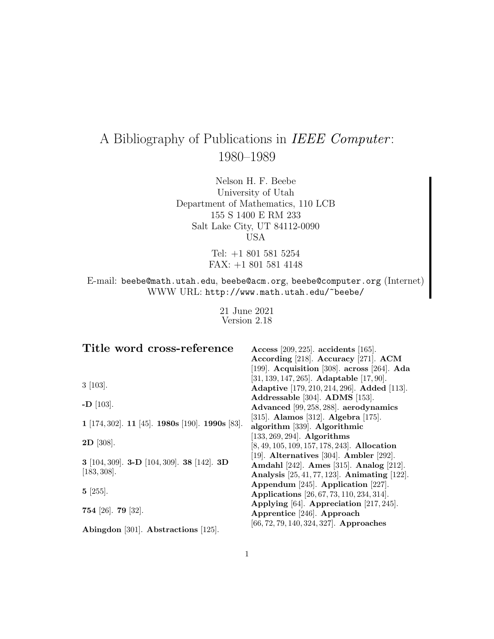# A Bibliography of Publications in IEEE Computer: 1980–1989

Nelson H. F. Beebe University of Utah Department of Mathematics, 110 LCB 155 S 1400 E RM 233 Salt Lake City, UT 84112-0090 USA

> Tel: +1 801 581 5254 FAX: +1 801 581 4148

E-mail: beebe@math.utah.edu, beebe@acm.org, beebe@computer.org (Internet) WWW URL: http://www.math.utah.edu/~beebe/

> 21 June 2021 Version 2.18

| Title word cross-reference                                      | Access $[209, 225]$ . accidents $[165]$ .                 |
|-----------------------------------------------------------------|-----------------------------------------------------------|
|                                                                 | According [218]. Accuracy [271]. ACM                      |
|                                                                 | [199]. Acquisition [308]. across [264]. Ada               |
|                                                                 | $[31, 139, 147, 265]$ . <b>Adaptable</b> $[17, 90]$ .     |
| $3 \; [103]$ .                                                  | <b>Adaptive</b> [179, 210, 214, 296]. <b>Added</b> [113]. |
|                                                                 | Addressable [304]. ADMS [153].                            |
| $-D$ [103].                                                     | Advanced [99, 258, 288]. aerodynamics                     |
|                                                                 | [315]. Alamos [312]. Algebra [175].                       |
| $1$ [174, 302]. $11$ [45]. $1980s$ [190]. $1990s$ [83].         | algorithm [339]. Algorithmic                              |
| $2D$ [308].                                                     | $[133, 269, 294]$ . Algorithms                            |
|                                                                 | $[8, 49, 105, 109, 157, 178, 243]$ . Allocation           |
|                                                                 | [19]. Alternatives [304]. Ambler [292].                   |
| 3 [104, 309]. <b>3-D</b> [104, 309]. <b>38</b> [142]. <b>3D</b> | Amdahl [242]. Ames [315]. Analog [212].                   |
| [183, 308].                                                     | Analysis $[25, 41, 77, 123]$ . Animating $[122]$ .        |
| $5 \; [255]$ .                                                  | Appendum [245]. Application [227].                        |
|                                                                 | <b>Applications</b> [26, 67, 73, 110, 234, 314].          |
|                                                                 | Applying $[64]$ . Appreciation $[217, 245]$ .             |
| 754 [26]. 79 [32].                                              | Apprentice [246]. Approach                                |
|                                                                 | $[66, 72, 79, 140, 324, 327]$ . Approaches                |
| Abingdon [301]. Abstractions [125].                             |                                                           |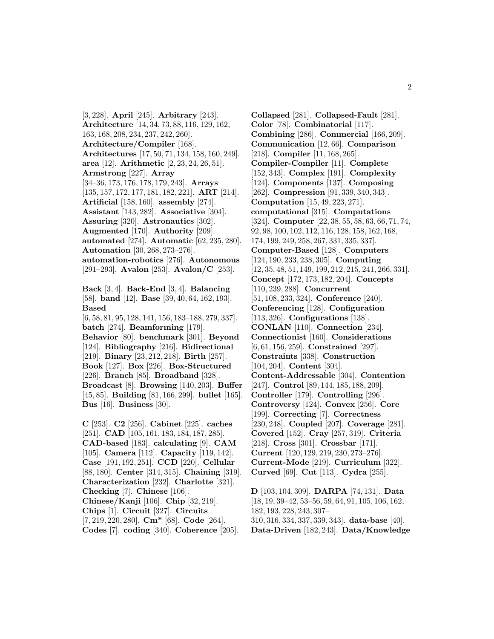[3, 228]. **April** [245]. **Arbitrary** [243]. **Architecture** [14, 34, 73, 88, 116, 129, 162, 163, 168, 208, 234, 237, 242, 260]. **Architecture/Compiler** [168]. **Architectures** [17, 50, 71, 134, 158, 160, 249]. **area** [12]. **Arithmetic** [2, 23, 24, 26, 51]. **Armstrong** [227]. **Array** [34–36, 173, 176, 178, 179, 243]. **Arrays** [135, 157, 172, 177, 181, 182, 221]. **ART** [214]. **Artificial** [158, 160]. **assembly** [274]. **Assistant** [143, 282]. **Associative** [304]. **Assuring** [320]. **Astronautics** [302]. **Augmented** [170]. **Authority** [209]. **automated** [274]. **Automatic** [62, 235, 280]. **Automation** [30, 268, 273–276]. **automation-robotics** [276]. **Autonomous** [291–293]. **Avalon** [253]. **Avalon/C** [253]. **Back** [3, 4]. **Back-End** [3, 4]. **Balancing** [58]. **band** [12]. **Base** [39, 40, 64, 162, 193]. **Based** [6, 58, 81, 95, 128, 141, 156, 183–188, 279, 337]. **batch** [274]. **Beamforming** [179]. **Behavior** [80]. **benchmark** [301]. **Beyond** [124]. **Bibliography** [216]. **Bidirectional** [219]. **Binary** [23, 212, 218]. **Birth** [257]. **Book** [127]. **Box** [226]. **Box-Structured** [226]. **Branch** [85]. **Broadband** [328]. **Broadcast** [8]. **Browsing** [140, 203]. **Buffer** [45, 85]. **Building** [81, 166, 299]. **bullet** [165]. **Bus** [16]. **Business** [30].

**C** [253]. **C2** [256]. **Cabinet** [225]. **caches** [251]. **CAD** [105, 161, 183, 184, 187, 285]. **CAD-based** [183]. **calculating** [9]. **CAM** [105]. **Camera** [112]. **Capacity** [119, 142]. **Case** [191, 192, 251]. **CCD** [220]. **Cellular** [88, 180]. **Center** [314, 315]. **Chaining** [319]. **Characterization** [232]. **Charlotte** [321]. **Checking** [7]. **Chinese** [106]. **Chinese/Kanji** [106]. **Chip** [32, 219]. **Chips** [1]. **Circuit** [327]. **Circuits** [7, 219, 220, 280]. **Cm\*** [68]. **Code** [264]. **Codes** [7]. **coding** [340]. **Coherence** [205].

**Collapsed** [281]. **Collapsed-Fault** [281]. **Color** [78]. **Combinatorial** [117]. **Combining** [286]. **Commercial** [166, 209]. **Communication** [12, 66]. **Comparison** [218]. **Compiler** [11, 168, 265]. **Compiler-Compiler** [11]. **Complete** [152, 343]. **Complex** [191]. **Complexity** [124]. **Components** [137]. **Composing** [262]. **Compression** [91, 339, 340, 343]. **Computation** [15, 49, 223, 271]. **computational** [315]. **Computations** [324]. **Computer** [22, 38, 55, 58, 63, 66, 71, 74, 92, 98, 100, 102, 112, 116, 128, 158, 162, 168, 174, 199, 249, 258, 267, 331, 335, 337]. **Computer-Based** [128]. **Computers** [124, 190, 233, 238, 305]. **Computing** [12, 35, 48, 51, 149, 199, 212, 215, 241, 266, 331]. **Concept** [172, 173, 182, 204]. **Concepts** [110, 239, 288]. **Concurrent** [51, 108, 233, 324]. **Conference** [240]. **Conferencing** [128]. **Configuration** [113, 326]. **Configurations** [138]. **CONLAN** [110]. **Connection** [234]. **Connectionist** [160]. **Considerations** [6, 61, 156, 259]. **Constrained** [297]. **Constraints** [338]. **Construction** [104, 204]. **Content** [304]. **Content-Addressable** [304]. **Contention** [247]. **Control** [89, 144, 185, 188, 209]. **Controller** [179]. **Controlling** [296]. **Controversy** [124]. **Convex** [256]. **Core** [199]. **Correcting** [7]. **Correctness** [230, 248]. **Coupled** [207]. **Coverage** [281]. **Covered** [152]. **Cray** [257, 319]. **Criteria** [218]. **Cross** [301]. **Crossbar** [171]. **Current** [120, 129, 219, 230, 273–276]. **Current-Mode** [219]. **Curriculum** [322]. **Curved** [69]. **Cut** [113]. **Cydra** [255].

**D** [103, 104, 309]. **DARPA** [74, 131]. **Data** [18, 19, 39–42, 53–56, 59, 64, 91, 105, 106, 162, 182, 193, 228, 243, 307– 310, 316, 334, 337, 339, 343]. **data-base** [40]. **Data-Driven** [182, 243]. **Data/Knowledge**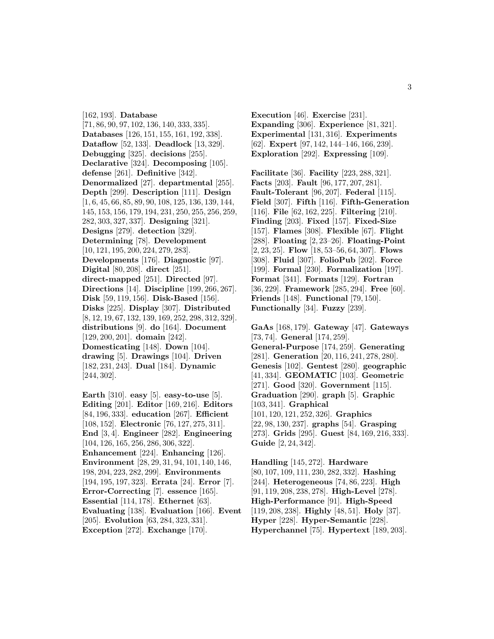[162, 193]. **Database** [71, 86, 90, 97, 102, 136, 140, 333, 335]. **Databases** [126, 151, 155, 161, 192, 338]. **Dataflow** [52, 133]. **Deadlock** [13, 329]. **Debugging** [325]. **decisions** [255]. **Declarative** [324]. **Decomposing** [105]. **defense** [261]. **Definitive** [342]. **Denormalized** [27]. **departmental** [255]. **Depth** [299]. **Description** [111]. **Design** [1, 6, 45, 66, 85, 89, 90, 108, 125, 136, 139, 144, 145, 153, 156, 179, 194, 231, 250, 255, 256, 259, 282, 303, 327, 337]. **Designing** [321]. **Designs** [279]. **detection** [329]. **Determining** [78]. **Development** [10, 121, 195, 200, 224, 279, 283]. **Developments** [176]. **Diagnostic** [97]. **Digital** [80, 208]. **direct** [251]. **direct-mapped** [251]. **Directed** [97]. **Directions** [14]. **Discipline** [199, 266, 267]. **Disk** [59, 119, 156]. **Disk-Based** [156]. **Disks** [225]. **Display** [307]. **Distributed** [8, 12, 19, 67, 132, 139, 169, 252, 298, 312, 329]. **distributions** [9]. **do** [164]. **Document** [129, 200, 201]. **domain** [242]. **Domesticating** [148]. **Down** [104]. **drawing** [5]. **Drawings** [104]. **Driven** [182, 231, 243]. **Dual** [184]. **Dynamic** [244, 302].

**Earth** [310]. **easy** [5]. **easy-to-use** [5]. **Editing** [201]. **Editor** [169, 216]. **Editors** [84, 196, 333]. **education** [267]. **Efficient** [108, 152]. **Electronic** [76, 127, 275, 311]. **End** [3, 4]. **Engineer** [282]. **Engineering** [104, 126, 165, 256, 286, 306, 322]. **Enhancement** [224]. **Enhancing** [126]. **Environment** [28, 29, 31, 94, 101, 140, 146, 198, 204, 223, 282, 299]. **Environments** [194, 195, 197, 323]. **Errata** [24]. **Error** [7]. **Error-Correcting** [7]. **essence** [165]. **Essential** [114, 178]. **Ethernet** [63]. **Evaluating** [138]. **Evaluation** [166]. **Event** [205]. **Evolution** [63, 284, 323, 331]. **Exception** [272]. **Exchange** [170].

**Execution** [46]. **Exercise** [231]. **Expanding** [306]. **Experience** [81, 321]. **Experimental** [131, 316]. **Experiments** [62]. **Expert** [97, 142, 144–146, 166, 239]. **Exploration** [292]. **Expressing** [109].

**Facilitate** [36]. **Facility** [223, 288, 321]. **Facts** [203]. **Fault** [96, 177, 207, 281]. **Fault-Tolerant** [96, 207]. **Federal** [115]. **Field** [307]. **Fifth** [116]. **Fifth-Generation** [116]. **File** [62, 162, 225]. **Filtering** [210]. **Finding** [203]. **Fixed** [157]. **Fixed-Size** [157]. **Flames** [308]. **Flexible** [67]. **Flight** [288]. **Floating** [2, 23–26]. **Floating-Point** [2, 23, 25]. **Flow** [18, 53–56, 64, 307]. **Flows** [308]. **Fluid** [307]. **FolioPub** [202]. **Force** [199]. **Formal** [230]. **Formalization** [197]. **Format** [341]. **Formats** [129]. **Fortran** [36, 229]. **Framework** [285, 294]. **Free** [60]. **Friends** [148]. **Functional** [79, 150]. **Functionally** [34]. **Fuzzy** [239].

**GaAs** [168, 179]. **Gateway** [47]. **Gateways** [73, 74]. **General** [174, 259]. **General-Purpose** [174, 259]. **Generating** [281]. **Generation** [20, 116, 241, 278, 280]. **Genesis** [102]. **Gentest** [280]. **geographic** [41, 334]. **GEOMATIC** [103]. **Geometric** [271]. **Good** [320]. **Government** [115]. **Graduation** [290]. **graph** [5]. **Graphic** [103, 341]. **Graphical** [101, 120, 121, 252, 326]. **Graphics** [22, 98, 130, 237]. **graphs** [54]. **Grasping** [273]. **Grids** [295]. **Guest** [84, 169, 216, 333]. **Guide** [2, 24, 342].

**Handling** [145, 272]. **Hardware** [80, 107, 109, 111, 230, 282, 332]. **Hashing** [244]. **Heterogeneous** [74, 86, 223]. **High** [91, 119, 208, 238, 278]. **High-Level** [278]. **High-Performance** [91]. **High-Speed** [119, 208, 238]. **Highly** [48, 51]. **Holy** [37]. **Hyper** [228]. **Hyper-Semantic** [228]. **Hyperchannel** [75]. **Hypertext** [189, 203].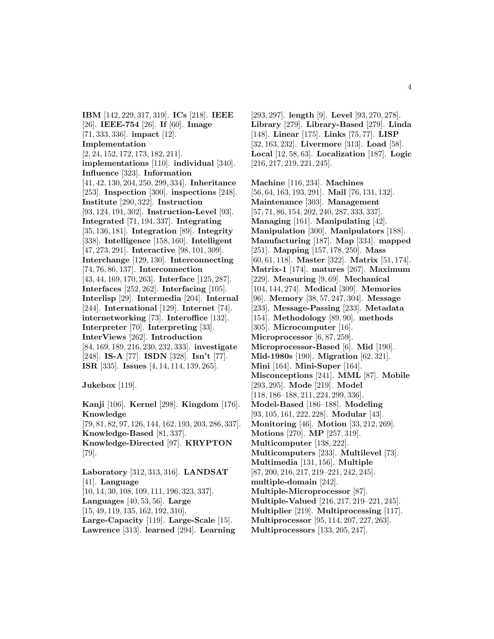**IBM** [142, 229, 317, 319]. **ICs** [218]. **IEEE** [26]. **IEEE-754** [26]. **If** [60]. **Image** [71, 333, 336]. **impact** [12]. **Implementation** [2, 24, 152, 172, 173, 182, 211]. **implementations** [110]. **individual** [340]. **Influence** [323]. **Information** [41, 42, 130, 204, 250, 299, 334]. **Inheritance** [253]. **Inspection** [300]. **inspections** [248]. **Institute** [290, 322]. **Instruction** [93, 124, 191, 302]. **Instruction-Level** [93]. **Integrated** [71, 194, 337]. **Integrating** [35, 136, 181]. **Integration** [89]. **Integrity** [338]. **Intelligence** [158, 160]. **Intelligent** [47, 273, 291]. **Interactive** [98, 101, 309]. **Interchange** [129, 130]. **Interconnecting** [74, 76, 86, 137]. **Interconnection** [43, 44, 169, 170, 263]. **Interface** [125, 287]. **Interfaces** [252, 262]. **Interfacing** [105]. **Interlisp** [29]. **Intermedia** [204]. **Internal** [244]. **International** [129]. **Internet** [74]. **internetworking** [73]. **Interoffice** [132]. **Interpreter** [70]. **Interpreting** [33]. **InterViews** [262]. **Introduction** [84, 169, 189, 216, 230, 232, 333]. **investigate** [248]. **IS-A** [77]. **ISDN** [328]. **Isn't** [77]. **ISR** [335]. **Issues** [4, 14, 114, 139, 265].

**Jukebox** [119].

**Kanji** [106]. **Kernel** [298]. **Kingdom** [176]. **Knowledge** [79, 81, 82, 97, 126, 144, 162, 193, 203, 286, 337]. **Knowledge-Based** [81, 337]. **Knowledge-Directed** [97]. **KRYPTON** [79].

**Laboratory** [312, 313, 316]. **LANDSAT** [41]. **Language** [10, 14, 30, 108, 109, 111, 196, 323, 337]. **Languages** [40, 53, 56]. **Large** [15, 49, 119, 135, 162, 192, 310]. **Large-Capacity** [119]. **Large-Scale** [15]. **Lawrence** [313]. **learned** [294]. **Learning**

[293, 297]. **length** [9]. **Level** [93, 270, 278]. **Library** [279]. **Library-Based** [279]. **Linda** [148]. **Linear** [175]. **Links** [75, 77]. **LISP** [32, 163, 232]. **Livermore** [313]. **Load** [58]. **Local** [12, 58, 63]. **Localization** [187]. **Logic** [216, 217, 219, 221, 245].

**Machine** [116, 234]. **Machines** [56, 64, 163, 193, 291]. **Mail** [76, 131, 132]. **Maintenance** [303]. **Management** [57, 71, 86, 154, 202, 240, 287, 333, 337]. **Managing** [161]. **Manipulating** [42]. **Manipulation** [300]. **Manipulators** [188]. **Manufacturing** [187]. **Map** [334]. **mapped** [251]. **Mapping** [157, 178, 250]. **Mass** [60, 61, 118]. **Master** [322]. **Matrix** [51, 174]. **Matrix-1** [174]. **matures** [267]. **Maximum** [229]. **Measuring** [9, 69]. **Mechanical** [104, 144, 274]. **Medical** [309]. **Memories** [96]. **Memory** [38, 57, 247, 304]. **Message** [233]. **Message-Passing** [233]. **Metadata** [154]. **Methodology** [89, 90]. **methods** [305]. **Microcomputer** [16]. **Microprocessor** [6, 87, 259]. **Microprocessor-Based** [6]. **Mid** [190]. **Mid-1980s** [190]. **Migration** [62, 321]. **Mini** [164]. **Mini-Super** [164]. **Misconceptions** [241]. **MML** [87]. **Mobile** [293, 295]. **Mode** [219]. **Model** [118, 186–188, 211, 224, 299, 336]. **Model-Based** [186–188]. **Modeling** [93, 105, 161, 222, 228]. **Modular** [43]. **Monitoring** [46]. **Motion** [33, 212, 269]. **Motions** [270]. **MP** [257, 319]. **Multicomputer** [138, 222]. **Multicomputers** [233]. **Multilevel** [73]. **Multimedia** [131, 156]. **Multiple** [87, 200, 216, 217, 219–221, 242, 245]. **multiple-domain** [242]. **Multiple-Microprocessor** [87]. **Multiple-Valued** [216, 217, 219–221, 245]. **Multiplier** [219]. **Multiprocessing** [117]. **Multiprocessor** [95, 114, 207, 227, 263].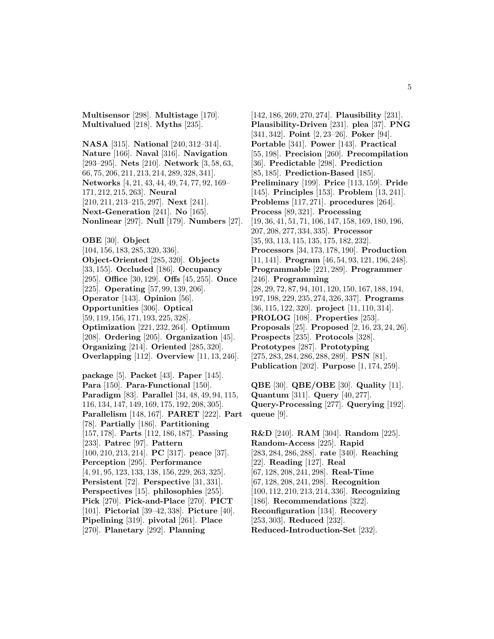**Multisensor** [298]. **Multistage** [170]. **Multivalued** [218]. **Myths** [235].

**NASA** [315]. **National** [240, 312–314]. **Nature** [166]. **Naval** [316]. **Navigation** [293–295]. **Nets** [210]. **Network** [3, 58, 63, 66, 75, 206, 211, 213, 214, 289, 328, 341]. **Networks** [4, 21, 43, 44, 49, 74, 77, 92, 169– 171, 212, 215, 263]. **Neural** [210, 211, 213–215, 297]. **Next** [241]. **Next-Generation** [241]. **No** [165]. **Nonlinear** [297]. **Null** [179]. **Numbers** [27].

**OBE** [30]. **Object** [104, 156, 183, 285, 320, 336]. **Object-Oriented** [285, 320]. **Objects** [33, 155]. **Occluded** [186]. **Occupancy** [295]. **Office** [30, 129]. **Offs** [45, 255]. **Once** [225]. **Operating** [57, 99, 139, 206]. **Operator** [143]. **Opinion** [56]. **Opportunities** [306]. **Optical** [59, 119, 156, 171, 193, 225, 328]. **Optimization** [221, 232, 264]. **Optimum** [208]. **Ordering** [205]. **Organization** [45]. **Organizing** [214]. **Oriented** [285, 320]. **Overlapping** [112]. **Overview** [11, 13, 246].

**package** [5]. **Packet** [43]. **Paper** [145]. **Para** [150]. **Para-Functional** [150]. **Paradigm** [83]. **Parallel** [34, 48, 49, 94, 115, 116, 134, 147, 149, 169, 175, 192, 208, 305]. **Parallelism** [148, 167]. **PARET** [222]. **Part** [78]. **Partially** [186]. **Partitioning** [157, 178]. **Parts** [112, 186, 187]. **Passing** [233]. **Patrec** [97]. **Pattern** [100, 210, 213, 214]. **PC** [317]. **peace** [37]. **Perception** [295]. **Performance** [4, 91, 95, 123, 133, 138, 156, 229, 263, 325]. **Persistent** [72]. **Perspective** [31, 331]. **Perspectives** [15]. **philosophies** [255]. **Pick** [270]. **Pick-and-Place** [270]. **PICT** [101]. **Pictorial** [39–42, 338]. **Picture** [40]. **Pipelining** [319]. **pivotal** [261]. **Place** [270]. **Planetary** [292]. **Planning**

[142, 186, 269, 270, 274]. **Plausibility** [231]. **Plausibility-Driven** [231]. **plea** [37]. **PNG** [341, 342]. **Point** [2, 23–26]. **Poker** [94]. **Portable** [341]. **Power** [143]. **Practical** [55, 198]. **Precision** [260]. **Precompilation** [36]. **Predictable** [298]. **Prediction** [85, 185]. **Prediction-Based** [185]. **Preliminary** [199]. **Price** [113, 159]. **Pride** [145]. **Principles** [153]. **Problem** [13, 241]. **Problems** [117, 271]. **procedures** [264]. **Process** [89, 321]. **Processing** [19, 36, 41, 51, 71, 106, 147, 158, 169, 180, 196, 207, 208, 277, 334, 335]. **Processor** [35, 93, 113, 115, 135, 175, 182, 232]. **Processors** [34, 173, 178, 190]. **Production** [11, 141]. **Program** [46, 54, 93, 121, 196, 248]. **Programmable** [221, 289]. **Programmer** [246]. **Programming** [28, 29, 72, 87, 94, 101, 120, 150, 167, 188, 194, 197, 198, 229, 235, 274, 326, 337]. **Programs** [36, 115, 122, 320]. **project** [11, 110, 314]. **PROLOG** [108]. **Properties** [253]. **Proposals** [25]. **Proposed** [2, 16, 23, 24, 26]. **Prospects** [235]. **Protocols** [328]. **Prototypes** [287]. **Prototyping** [275, 283, 284, 286, 288, 289]. **PSN** [81]. **Publication** [202]. **Purpose** [1, 174, 259].

**QBE** [30]. **QBE/OBE** [30]. **Quality** [11]. **Quantum** [311]. **Query** [40, 277]. **Query-Processing** [277]. **Querying** [192]. **queue** [9].

**R&D** [240]. **RAM** [304]. **Random** [225]. **Random-Access** [225]. **Rapid** [283, 284, 286, 288]. **rate** [340]. **Reaching** [22]. **Reading** [127]. **Real** [67, 128, 208, 241, 298]. **Real-Time** [67, 128, 208, 241, 298]. **Recognition** [100, 112, 210, 213, 214, 336]. **Recognizing** [186]. **Recommendations** [322]. **Reconfiguration** [134]. **Recovery** [253, 303]. **Reduced** [232]. **Reduced-Introduction-Set** [232].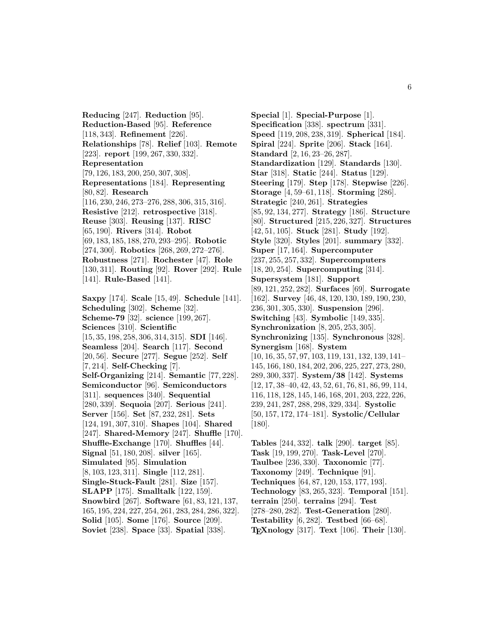**Reducing** [247]. **Reduction** [95]. **Reduction-Based** [95]. **Reference** [118, 343]. **Refinement** [226]. **Relationships** [78]. **Relief** [103]. **Remote** [223]. **report** [199, 267, 330, 332]. **Representation** [79, 126, 183, 200, 250, 307, 308]. **Representations** [184]. **Representing** [80, 82]. **Research** [116, 230, 246, 273–276, 288, 306, 315, 316]. **Resistive** [212]. **retrospective** [318]. **Reuse** [303]. **Reusing** [137]. **RISC** [65, 190]. **Rivers** [314]. **Robot** [69, 183, 185, 188, 270, 293–295]. **Robotic** [274, 300]. **Robotics** [268, 269, 272–276]. **Robustness** [271]. **Rochester** [47]. **Role** [130, 311]. **Routing** [92]. **Rover** [292]. **Rule** [141]. **Rule-Based** [141].

**Saxpy** [174]. **Scale** [15, 49]. **Schedule** [141]. **Scheduling** [302]. **Scheme** [32]. **Scheme-79** [32]. **science** [199, 267]. **Sciences** [310]. **Scientific** [15, 35, 198, 258, 306, 314, 315]. **SDI** [146]. **Seamless** [204]. **Search** [117]. **Second** [20, 56]. **Secure** [277]. **Segue** [252]. **Self** [7, 214]. **Self-Checking** [7]. **Self-Organizing** [214]. **Semantic** [77, 228]. **Semiconductor** [96]. **Semiconductors** [311]. **sequences** [340]. **Sequential** [280, 339]. **Sequoia** [207]. **Serious** [241]. **Server** [156]. **Set** [87, 232, 281]. **Sets** [124, 191, 307, 310]. **Shapes** [104]. **Shared** [247]. **Shared-Memory** [247]. **Shuffle** [170]. **Shuffle-Exchange** [170]. **Shuffles** [44]. **Signal** [51, 180, 208]. **silver** [165]. **Simulated** [95]. **Simulation** [8, 103, 123, 311]. **Single** [112, 281]. **Single-Stuck-Fault** [281]. **Size** [157]. **SLAPP** [175]. **Smalltalk** [122, 159]. **Snowbird** [267]. **Software** [61, 83, 121, 137, 165, 195, 224, 227, 254, 261, 283, 284, 286, 322]. **Solid** [105]. **Some** [176]. **Source** [209]. **Soviet** [238]. **Space** [33]. **Spatial** [338].

**Special** [1]. **Special-Purpose** [1]. **Specification** [338]. **spectrum** [331]. **Speed** [119, 208, 238, 319]. **Spherical** [184]. **Spiral** [224]. **Sprite** [206]. **Stack** [164]. **Standard** [2, 16, 23–26, 287]. **Standardization** [129]. **Standards** [130]. **Star** [318]. **Static** [244]. **Status** [129]. **Steering** [179]. **Step** [178]. **Stepwise** [226]. **Storage** [4, 59–61, 118]. **Storming** [286]. **Strategic** [240, 261]. **Strategies** [85, 92, 134, 277]. **Strategy** [186]. **Structure** [80]. **Structured** [215, 226, 327]. **Structures** [42, 51, 105]. **Stuck** [281]. **Study** [192]. **Style** [320]. **Styles** [201]. **summary** [332]. **Super** [17, 164]. **Supercomputer** [237, 255, 257, 332]. **Supercomputers** [18, 20, 254]. **Supercomputing** [314]. **Supersystem** [181]. **Support** [89, 121, 252, 282]. **Surfaces** [69]. **Surrogate** [162]. **Survey** [46, 48, 120, 130, 189, 190, 230, 236, 301, 305, 330]. **Suspension** [296]. **Switching** [43]. **Symbolic** [149, 335]. **Synchronization** [8, 205, 253, 305]. **Synchronizing** [135]. **Synchronous** [328]. **Synergism** [168]. **System** [10, 16, 35, 57, 97, 103, 119, 131, 132, 139, 141– 145, 166, 180, 184, 202, 206, 225, 227, 273, 280, 289, 300, 337]. **System/38** [142]. **Systems** [12, 17, 38–40, 42, 43, 52, 61, 76, 81, 86, 99, 114, 116, 118, 128, 145, 146, 168, 201, 203, 222, 226, 239, 241, 287, 288, 298, 329, 334]. **Systolic** [50, 157, 172, 174–181]. **Systolic/Cellular** [180].

**Tables** [244, 332]. **talk** [290]. **target** [85]. **Task** [19, 199, 270]. **Task-Level** [270]. **Taulbee** [236, 330]. **Taxonomic** [77]. **Taxonomy** [249]. **Technique** [91]. **Techniques** [64, 87, 120, 153, 177, 193]. **Technology** [83, 265, 323]. **Temporal** [151]. **terrain** [250]. **terrains** [294]. **Test** [278–280, 282]. **Test-Generation** [280]. **Testability** [6, 282]. **Testbed** [66–68]. **TEXnology** [317]. **Text** [106]. **Their** [130].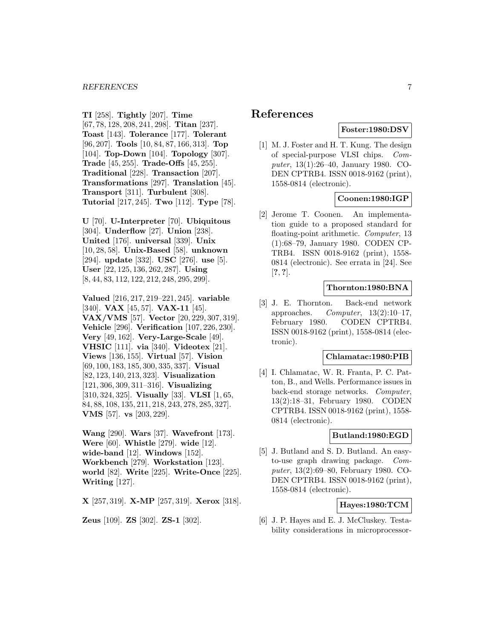**TI** [258]. **Tightly** [207]. **Time** [67, 78, 128, 208, 241, 298]. **Titan** [237]. **Toast** [143]. **Tolerance** [177]. **Tolerant** [96, 207]. **Tools** [10, 84, 87, 166, 313]. **Top** [104]. **Top-Down** [104]. **Topology** [307]. **Trade** [45, 255]. **Trade-Offs** [45, 255]. **Traditional** [228]. **Transaction** [207]. **Transformations** [297]. **Translation** [45]. **Transport** [311]. **Turbulent** [308]. **Tutorial** [217, 245]. **Two** [112]. **Type** [78].

**U** [70]. **U-Interpreter** [70]. **Ubiquitous** [304]. **Underflow** [27]. **Union** [238]. **United** [176]. **universal** [339]. **Unix** [10, 28, 58]. **Unix-Based** [58]. **unknown** [294]. **update** [332]. **USC** [276]. **use** [5]. **User** [22, 125, 136, 262, 287]. **Using** [8, 44, 83, 112, 122, 212, 248, 295, 299].

**Valued** [216, 217, 219–221, 245]. **variable** [340]. **VAX** [45, 57]. **VAX-11** [45]. **VAX/VMS** [57]. **Vector** [20, 229, 307, 319]. **Vehicle** [296]. **Verification** [107, 226, 230]. **Very** [49, 162]. **Very-Large-Scale** [49]. **VHSIC** [111]. **via** [340]. **Videotex** [21]. **Views** [136, 155]. **Virtual** [57]. **Vision** [69, 100, 183, 185, 300, 335, 337]. **Visual** [82, 123, 140, 213, 323]. **Visualization** [121, 306, 309, 311–316]. **Visualizing** [310, 324, 325]. **Visually** [33]. **VLSI** [1, 65, 84, 88, 108, 135, 211, 218, 243, 278, 285, 327]. **VMS** [57]. **vs** [203, 229].

**Wang** [290]. **Wars** [37]. **Wavefront** [173]. **Were** [60]. **Whistle** [279]. **wide** [12]. **wide-band** [12]. **Windows** [152]. **Workbench** [279]. **Workstation** [123]. **world** [82]. **Write** [225]. **Write-Once** [225]. **Writing** [127].

**X** [257, 319]. **X-MP** [257, 319]. **Xerox** [318].

**Zeus** [109]. **ZS** [302]. **ZS-1** [302].

# **References**

# **Foster:1980:DSV**

[1] M. J. Foster and H. T. Kung. The design of special-purpose VLSI chips. Computer, 13(1):26–40, January 1980. CO-DEN CPTRB4. ISSN 0018-9162 (print), 1558-0814 (electronic).

# **Coonen:1980:IGP**

[2] Jerome T. Coonen. An implementation guide to a proposed standard for floating-point arithmetic. Computer, 13 (1):68–79, January 1980. CODEN CP-TRB4. ISSN 0018-9162 (print), 1558- 0814 (electronic). See errata in [24]. See [**?**, **?**].

# **Thornton:1980:BNA**

[3] J. E. Thornton. Back-end network approaches.  $Computer, 13(2):10-17,$ February 1980. CODEN CPTRB4. ISSN 0018-9162 (print), 1558-0814 (electronic).

#### **Chlamatac:1980:PIB**

[4] I. Chlamatac, W. R. Franta, P. C. Patton, B., and Wells. Performance issues in back-end storage networks. Computer, 13(2):18–31, February 1980. CODEN CPTRB4. ISSN 0018-9162 (print), 1558- 0814 (electronic).

# **Butland:1980:EGD**

[5] J. Butland and S. D. Butland. An easyto-use graph drawing package. Computer, 13(2):69–80, February 1980. CO-DEN CPTRB4. ISSN 0018-9162 (print), 1558-0814 (electronic).

# **Hayes:1980:TCM**

[6] J. P. Hayes and E. J. McCluskey. Testability considerations in microprocessor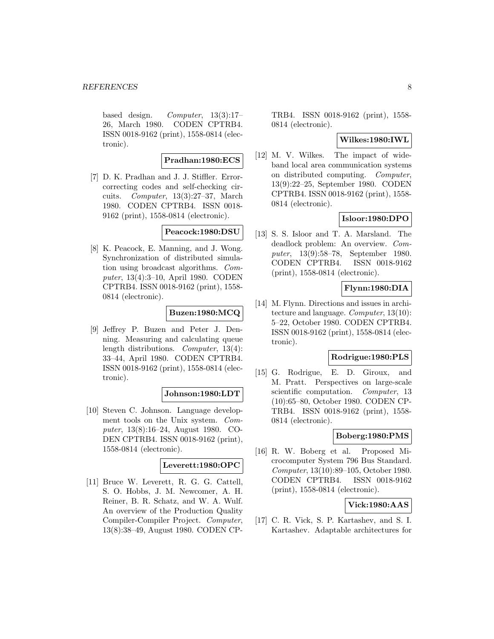based design. Computer, 13(3):17– 26, March 1980. CODEN CPTRB4. ISSN 0018-9162 (print), 1558-0814 (electronic).

#### **Pradhan:1980:ECS**

[7] D. K. Pradhan and J. J. Stiffler. Errorcorrecting codes and self-checking circuits. Computer, 13(3):27–37, March 1980. CODEN CPTRB4. ISSN 0018- 9162 (print), 1558-0814 (electronic).

# **Peacock:1980:DSU**

[8] K. Peacock, E. Manning, and J. Wong. Synchronization of distributed simulation using broadcast algorithms. Computer, 13(4):3–10, April 1980. CODEN CPTRB4. ISSN 0018-9162 (print), 1558- 0814 (electronic).

# **Buzen:1980:MCQ**

[9] Jeffrey P. Buzen and Peter J. Denning. Measuring and calculating queue length distributions. Computer, 13(4): 33–44, April 1980. CODEN CPTRB4. ISSN 0018-9162 (print), 1558-0814 (electronic).

#### **Johnson:1980:LDT**

[10] Steven C. Johnson. Language development tools on the Unix system. Computer, 13(8):16–24, August 1980. CO-DEN CPTRB4. ISSN 0018-9162 (print), 1558-0814 (electronic).

# **Leverett:1980:OPC**

[11] Bruce W. Leverett, R. G. G. Cattell, S. O. Hobbs, J. M. Newcomer, A. H. Reiner, B. R. Schatz, and W. A. Wulf. An overview of the Production Quality Compiler-Compiler Project. Computer, 13(8):38–49, August 1980. CODEN CP- TRB4. ISSN 0018-9162 (print), 1558- 0814 (electronic).

### **Wilkes:1980:IWL**

[12] M. V. Wilkes. The impact of wideband local area communication systems on distributed computing. Computer, 13(9):22–25, September 1980. CODEN CPTRB4. ISSN 0018-9162 (print), 1558- 0814 (electronic).

#### **Isloor:1980:DPO**

[13] S. S. Isloor and T. A. Marsland. The deadlock problem: An overview. Computer, 13(9):58–78, September 1980. CODEN CPTRB4. ISSN 0018-9162 (print), 1558-0814 (electronic).

#### **Flynn:1980:DIA**

[14] M. Flynn. Directions and issues in architecture and language. Computer, 13(10): 5–22, October 1980. CODEN CPTRB4. ISSN 0018-9162 (print), 1558-0814 (electronic).

# **Rodrigue:1980:PLS**

[15] G. Rodrigue, E. D. Giroux, and M. Pratt. Perspectives on large-scale scientific computation. Computer, 13 (10):65–80, October 1980. CODEN CP-TRB4. ISSN 0018-9162 (print), 1558- 0814 (electronic).

#### **Boberg:1980:PMS**

[16] R. W. Boberg et al. Proposed Microcomputer System 796 Bus Standard. Computer, 13(10):89–105, October 1980. CODEN CPTRB4. ISSN 0018-9162 (print), 1558-0814 (electronic).

# **Vick:1980:AAS**

[17] C. R. Vick, S. P. Kartashev, and S. I. Kartashev. Adaptable architectures for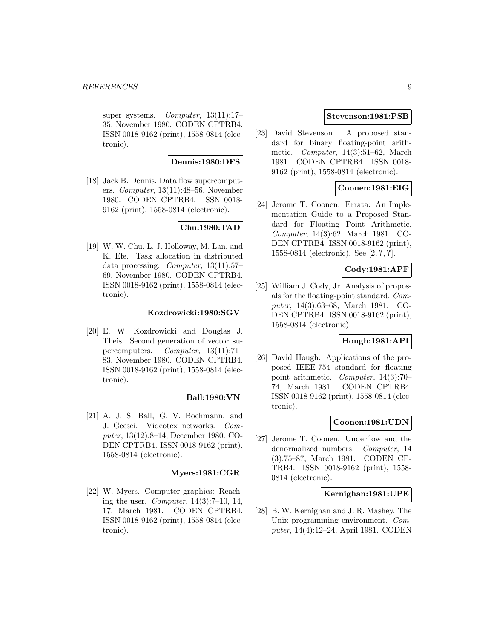super systems. Computer, 13(11):17– 35, November 1980. CODEN CPTRB4. ISSN 0018-9162 (print), 1558-0814 (electronic).

# **Dennis:1980:DFS**

[18] Jack B. Dennis. Data flow supercomputers. Computer, 13(11):48–56, November 1980. CODEN CPTRB4. ISSN 0018- 9162 (print), 1558-0814 (electronic).

# **Chu:1980:TAD**

[19] W. W. Chu, L. J. Holloway, M. Lan, and K. Efe. Task allocation in distributed data processing. Computer, 13(11):57– 69, November 1980. CODEN CPTRB4. ISSN 0018-9162 (print), 1558-0814 (electronic).

# **Kozdrowicki:1980:SGV**

[20] E. W. Kozdrowicki and Douglas J. Theis. Second generation of vector supercomputers. Computer, 13(11):71– 83, November 1980. CODEN CPTRB4. ISSN 0018-9162 (print), 1558-0814 (electronic).

#### **Ball:1980:VN**

[21] A. J. S. Ball, G. V. Bochmann, and J. Gecsei. Videotex networks. Computer, 13(12):8–14, December 1980. CO-DEN CPTRB4. ISSN 0018-9162 (print), 1558-0814 (electronic).

#### **Myers:1981:CGR**

[22] W. Myers. Computer graphics: Reaching the user. Computer, 14(3):7–10, 14, 17, March 1981. CODEN CPTRB4. ISSN 0018-9162 (print), 1558-0814 (electronic).

# **Stevenson:1981:PSB**

[23] David Stevenson. A proposed standard for binary floating-point arithmetic. Computer, 14(3):51–62, March 1981. CODEN CPTRB4. ISSN 0018- 9162 (print), 1558-0814 (electronic).

# **Coonen:1981:EIG**

[24] Jerome T. Coonen. Errata: An Implementation Guide to a Proposed Standard for Floating Point Arithmetic. Computer, 14(3):62, March 1981. CO-DEN CPTRB4. ISSN 0018-9162 (print), 1558-0814 (electronic). See [2, **?**, **?**].

# **Cody:1981:APF**

[25] William J. Cody, Jr. Analysis of proposals for the floating-point standard. Computer, 14(3):63–68, March 1981. CO-DEN CPTRB4. ISSN 0018-9162 (print), 1558-0814 (electronic).

# **Hough:1981:API**

[26] David Hough. Applications of the proposed IEEE-754 standard for floating point arithmetic. Computer, 14(3):70– 74, March 1981. CODEN CPTRB4. ISSN 0018-9162 (print), 1558-0814 (electronic).

#### **Coonen:1981:UDN**

[27] Jerome T. Coonen. Underflow and the denormalized numbers. Computer, 14 (3):75–87, March 1981. CODEN CP-TRB4. ISSN 0018-9162 (print), 1558- 0814 (electronic).

#### **Kernighan:1981:UPE**

[28] B. W. Kernighan and J. R. Mashey. The Unix programming environment. Computer, 14(4):12–24, April 1981. CODEN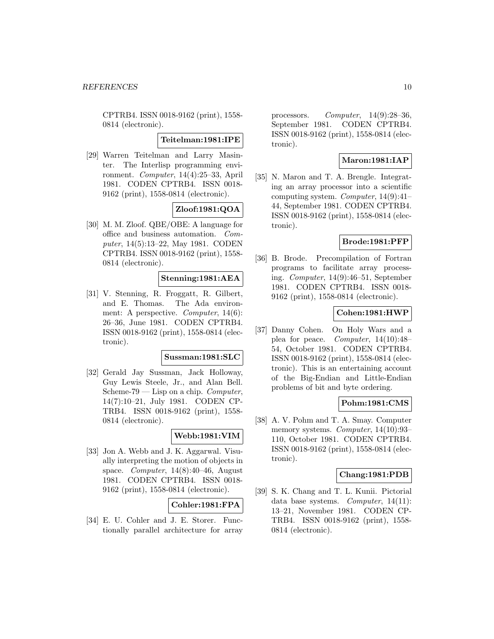CPTRB4. ISSN 0018-9162 (print), 1558- 0814 (electronic).

**Teitelman:1981:IPE**

[29] Warren Teitelman and Larry Masinter. The Interlisp programming environment. Computer, 14(4):25–33, April 1981. CODEN CPTRB4. ISSN 0018- 9162 (print), 1558-0814 (electronic).

**Zloof:1981:QOA**

[30] M. M. Zloof. QBE/OBE: A language for office and business automation. Computer, 14(5):13–22, May 1981. CODEN CPTRB4. ISSN 0018-9162 (print), 1558- 0814 (electronic).

# **Stenning:1981:AEA**

[31] V. Stenning, R. Froggatt, R. Gilbert, and E. Thomas. The Ada environment: A perspective. Computer, 14(6): 26–36, June 1981. CODEN CPTRB4. ISSN 0018-9162 (print), 1558-0814 (electronic).

#### **Sussman:1981:SLC**

[32] Gerald Jay Sussman, Jack Holloway, Guy Lewis Steele, Jr., and Alan Bell. Scheme-79 — Lisp on a chip. Computer, 14(7):10–21, July 1981. CODEN CP-TRB4. ISSN 0018-9162 (print), 1558- 0814 (electronic).

### **Webb:1981:VIM**

[33] Jon A. Webb and J. K. Aggarwal. Visually interpreting the motion of objects in space. Computer, 14(8):40–46, August 1981. CODEN CPTRB4. ISSN 0018- 9162 (print), 1558-0814 (electronic).

### **Cohler:1981:FPA**

[34] E. U. Cohler and J. E. Storer. Functionally parallel architecture for array

processors. Computer, 14(9):28–36, September 1981. CODEN CPTRB4. ISSN 0018-9162 (print), 1558-0814 (electronic).

### **Maron:1981:IAP**

[35] N. Maron and T. A. Brengle. Integrating an array processor into a scientific computing system. Computer, 14(9):41– 44, September 1981. CODEN CPTRB4. ISSN 0018-9162 (print), 1558-0814 (electronic).

#### **Brode:1981:PFP**

[36] B. Brode. Precompilation of Fortran programs to facilitate array processing. Computer, 14(9):46–51, September 1981. CODEN CPTRB4. ISSN 0018- 9162 (print), 1558-0814 (electronic).

#### **Cohen:1981:HWP**

[37] Danny Cohen. On Holy Wars and a plea for peace. Computer, 14(10):48– 54, October 1981. CODEN CPTRB4. ISSN 0018-9162 (print), 1558-0814 (electronic). This is an entertaining account of the Big-Endian and Little-Endian problems of bit and byte ordering.

#### **Pohm:1981:CMS**

[38] A. V. Pohm and T. A. Smay. Computer memory systems. Computer, 14(10):93– 110, October 1981. CODEN CPTRB4. ISSN 0018-9162 (print), 1558-0814 (electronic).

#### **Chang:1981:PDB**

[39] S. K. Chang and T. L. Kunii. Pictorial data base systems. Computer, 14(11): 13–21, November 1981. CODEN CP-TRB4. ISSN 0018-9162 (print), 1558- 0814 (electronic).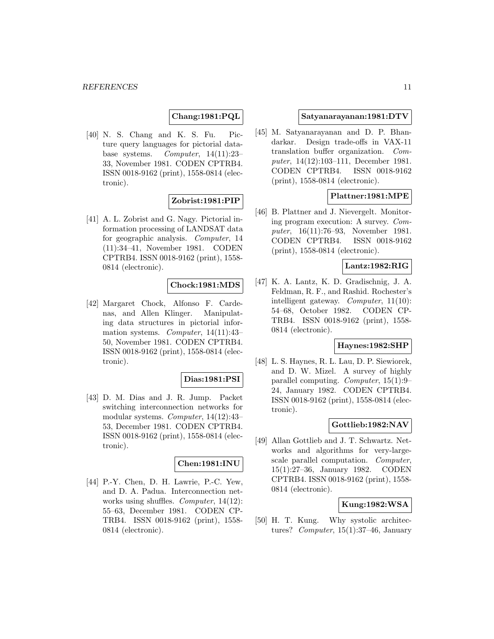#### **Chang:1981:PQL**

[40] N. S. Chang and K. S. Fu. Picture query languages for pictorial database systems. Computer, 14(11):23– 33, November 1981. CODEN CPTRB4. ISSN 0018-9162 (print), 1558-0814 (electronic).

# **Zobrist:1981:PIP**

[41] A. L. Zobrist and G. Nagy. Pictorial information processing of LANDSAT data for geographic analysis. Computer, 14 (11):34–41, November 1981. CODEN CPTRB4. ISSN 0018-9162 (print), 1558- 0814 (electronic).

# **Chock:1981:MDS**

[42] Margaret Chock, Alfonso F. Cardenas, and Allen Klinger. Manipulating data structures in pictorial information systems. Computer, 14(11):43– 50, November 1981. CODEN CPTRB4. ISSN 0018-9162 (print), 1558-0814 (electronic).

#### **Dias:1981:PSI**

[43] D. M. Dias and J. R. Jump. Packet switching interconnection networks for modular systems. Computer, 14(12):43– 53, December 1981. CODEN CPTRB4. ISSN 0018-9162 (print), 1558-0814 (electronic).

#### **Chen:1981:INU**

[44] P.-Y. Chen, D. H. Lawrie, P.-C. Yew, and D. A. Padua. Interconnection networks using shuffles. Computer, 14(12): 55–63, December 1981. CODEN CP-TRB4. ISSN 0018-9162 (print), 1558- 0814 (electronic).

#### **Satyanarayanan:1981:DTV**

[45] M. Satyanarayanan and D. P. Bhandarkar. Design trade-offs in VAX-11 translation buffer organization. Computer, 14(12):103–111, December 1981. CODEN CPTRB4. ISSN 0018-9162 (print), 1558-0814 (electronic).

#### **Plattner:1981:MPE**

[46] B. Plattner and J. Nievergelt. Monitoring program execution: A survey. Computer, 16(11):76–93, November 1981. CODEN CPTRB4. ISSN 0018-9162 (print), 1558-0814 (electronic).

# **Lantz:1982:RIG**

[47] K. A. Lantz, K. D. Gradischnig, J. A. Feldman, R. F., and Rashid. Rochester's intelligent gateway. Computer, 11(10): 54–68, October 1982. CODEN CP-TRB4. ISSN 0018-9162 (print), 1558- 0814 (electronic).

### **Haynes:1982:SHP**

[48] L. S. Haynes, R. L. Lau, D. P. Siewiorek, and D. W. Mizel. A survey of highly parallel computing. Computer, 15(1):9– 24, January 1982. CODEN CPTRB4. ISSN 0018-9162 (print), 1558-0814 (electronic).

#### **Gottlieb:1982:NAV**

[49] Allan Gottlieb and J. T. Schwartz. Networks and algorithms for very-largescale parallel computation. Computer, 15(1):27–36, January 1982. CODEN CPTRB4. ISSN 0018-9162 (print), 1558- 0814 (electronic).

#### **Kung:1982:WSA**

[50] H. T. Kung. Why systolic architectures? Computer, 15(1):37–46, January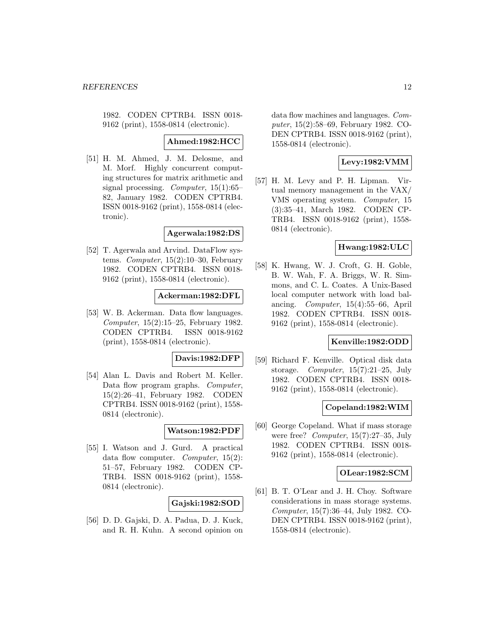1982. CODEN CPTRB4. ISSN 0018- 9162 (print), 1558-0814 (electronic).

#### **Ahmed:1982:HCC**

[51] H. M. Ahmed, J. M. Delosme, and M. Morf. Highly concurrent computing structures for matrix arithmetic and signal processing. Computer, 15(1):65– 82, January 1982. CODEN CPTRB4. ISSN 0018-9162 (print), 1558-0814 (electronic).

#### **Agerwala:1982:DS**

[52] T. Agerwala and Arvind. DataFlow systems. Computer,  $15(2):10-30$ , February 1982. CODEN CPTRB4. ISSN 0018- 9162 (print), 1558-0814 (electronic).

#### **Ackerman:1982:DFL**

[53] W. B. Ackerman. Data flow languages. Computer, 15(2):15–25, February 1982. CODEN CPTRB4. ISSN 0018-9162 (print), 1558-0814 (electronic).

# **Davis:1982:DFP**

[54] Alan L. Davis and Robert M. Keller. Data flow program graphs. Computer, 15(2):26–41, February 1982. CODEN CPTRB4. ISSN 0018-9162 (print), 1558- 0814 (electronic).

#### **Watson:1982:PDF**

[55] I. Watson and J. Gurd. A practical data flow computer. Computer, 15(2): 51–57, February 1982. CODEN CP-TRB4. ISSN 0018-9162 (print), 1558- 0814 (electronic).

# **Gajski:1982:SOD**

[56] D. D. Gajski, D. A. Padua, D. J. Kuck, and R. H. Kuhn. A second opinion on

data flow machines and languages. Computer, 15(2):58–69, February 1982. CO-DEN CPTRB4. ISSN 0018-9162 (print), 1558-0814 (electronic).

# **Levy:1982:VMM**

[57] H. M. Levy and P. H. Lipman. Virtual memory management in the VAX/ VMS operating system. Computer, 15 (3):35–41, March 1982. CODEN CP-TRB4. ISSN 0018-9162 (print), 1558- 0814 (electronic).

### **Hwang:1982:ULC**

[58] K. Hwang, W. J. Croft, G. H. Goble, B. W. Wah, F. A. Briggs, W. R. Simmons, and C. L. Coates. A Unix-Based local computer network with load balancing. *Computer*,  $15(4):55-66$ , April 1982. CODEN CPTRB4. ISSN 0018- 9162 (print), 1558-0814 (electronic).

# **Kenville:1982:ODD**

[59] Richard F. Kenville. Optical disk data storage. Computer, 15(7):21–25, July 1982. CODEN CPTRB4. ISSN 0018- 9162 (print), 1558-0814 (electronic).

#### **Copeland:1982:WIM**

[60] George Copeland. What if mass storage were free? Computer,  $15(7)$ :27-35, July 1982. CODEN CPTRB4. ISSN 0018- 9162 (print), 1558-0814 (electronic).

#### **OLear:1982:SCM**

[61] B. T. O'Lear and J. H. Choy. Software considerations in mass storage systems. Computer, 15(7):36–44, July 1982. CO-DEN CPTRB4. ISSN 0018-9162 (print), 1558-0814 (electronic).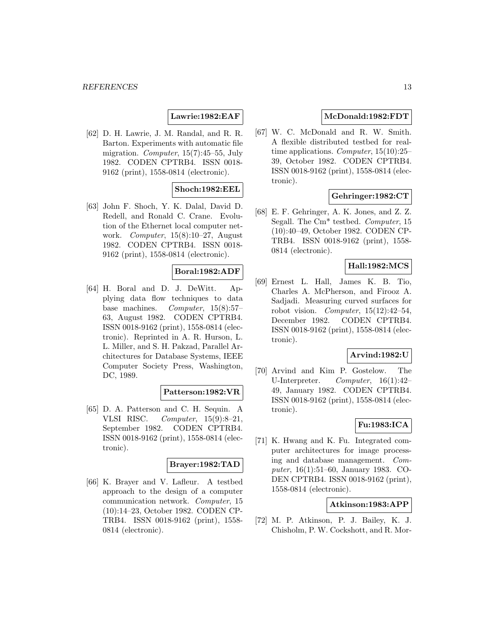# **Lawrie:1982:EAF**

[62] D. H. Lawrie, J. M. Randal, and R. R. Barton. Experiments with automatic file migration. Computer, 15(7):45–55, July 1982. CODEN CPTRB4. ISSN 0018- 9162 (print), 1558-0814 (electronic).

#### **Shoch:1982:EEL**

[63] John F. Shoch, Y. K. Dalal, David D. Redell, and Ronald C. Crane. Evolution of the Ethernet local computer network. Computer, 15(8):10–27, August 1982. CODEN CPTRB4. ISSN 0018- 9162 (print), 1558-0814 (electronic).

#### **Boral:1982:ADF**

[64] H. Boral and D. J. DeWitt. Applying data flow techniques to data base machines. Computer, 15(8):57– 63, August 1982. CODEN CPTRB4. ISSN 0018-9162 (print), 1558-0814 (electronic). Reprinted in A. R. Hurson, L. L. Miller, and S. H. Pakzad, Parallel Architectures for Database Systems, IEEE Computer Society Press, Washington, DC, 1989.

#### **Patterson:1982:VR**

[65] D. A. Patterson and C. H. Sequin. A VLSI RISC. Computer, 15(9):8–21, September 1982. CODEN CPTRB4. ISSN 0018-9162 (print), 1558-0814 (electronic).

### **Brayer:1982:TAD**

[66] K. Brayer and V. Lafleur. A testbed approach to the design of a computer communication network. Computer, 15 (10):14–23, October 1982. CODEN CP-TRB4. ISSN 0018-9162 (print), 1558- 0814 (electronic).

# **McDonald:1982:FDT**

[67] W. C. McDonald and R. W. Smith. A flexible distributed testbed for realtime applications. Computer, 15(10):25– 39, October 1982. CODEN CPTRB4. ISSN 0018-9162 (print), 1558-0814 (electronic).

### **Gehringer:1982:CT**

[68] E. F. Gehringer, A. K. Jones, and Z. Z. Segall. The Cm<sup>\*</sup> testbed. *Computer*, 15 (10):40–49, October 1982. CODEN CP-TRB4. ISSN 0018-9162 (print), 1558- 0814 (electronic).

### **Hall:1982:MCS**

[69] Ernest L. Hall, James K. B. Tio, Charles A. McPherson, and Firooz A. Sadjadi. Measuring curved surfaces for robot vision. Computer,  $15(12):42-54$ , December 1982. CODEN CPTRB4. ISSN 0018-9162 (print), 1558-0814 (electronic).

#### **Arvind:1982:U**

[70] Arvind and Kim P. Gostelow. The U-Interpreter. Computer, 16(1):42– 49, January 1982. CODEN CPTRB4. ISSN 0018-9162 (print), 1558-0814 (electronic).

#### **Fu:1983:ICA**

[71] K. Hwang and K. Fu. Integrated computer architectures for image processing and database management. Computer, 16(1):51–60, January 1983. CO-DEN CPTRB4. ISSN 0018-9162 (print), 1558-0814 (electronic).

### **Atkinson:1983:APP**

[72] M. P. Atkinson, P. J. Bailey, K. J. Chisholm, P. W. Cockshott, and R. Mor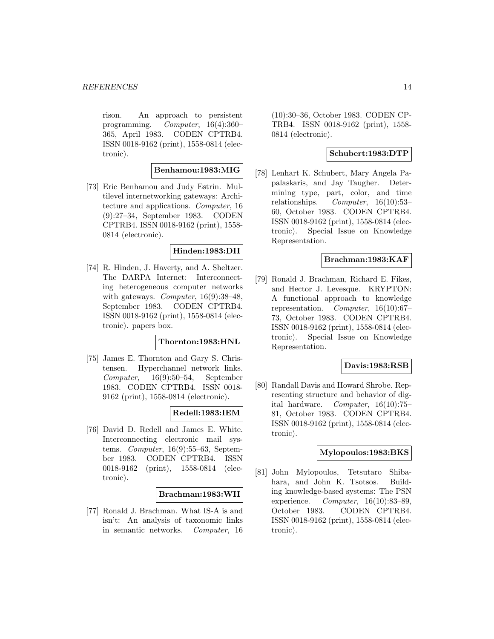rison. An approach to persistent programming. Computer, 16(4):360– 365, April 1983. CODEN CPTRB4. ISSN 0018-9162 (print), 1558-0814 (electronic).

# **Benhamou:1983:MIG**

[73] Eric Benhamou and Judy Estrin. Multilevel internetworking gateways: Architecture and applications. Computer, 16 (9):27–34, September 1983. CODEN CPTRB4. ISSN 0018-9162 (print), 1558- 0814 (electronic).

# **Hinden:1983:DII**

[74] R. Hinden, J. Haverty, and A. Sheltzer. The DARPA Internet: Interconnecting heterogeneous computer networks with gateways. *Computer*, 16(9):38-48, September 1983. CODEN CPTRB4. ISSN 0018-9162 (print), 1558-0814 (electronic). papers box.

#### **Thornton:1983:HNL**

[75] James E. Thornton and Gary S. Christensen. Hyperchannel network links. Computer, 16(9):50–54, September 1983. CODEN CPTRB4. ISSN 0018- 9162 (print), 1558-0814 (electronic).

#### **Redell:1983:IEM**

[76] David D. Redell and James E. White. Interconnecting electronic mail systems. *Computer*,  $16(9):55-63$ , September 1983. CODEN CPTRB4. ISSN 0018-9162 (print), 1558-0814 (electronic).

#### **Brachman:1983:WII**

[77] Ronald J. Brachman. What IS-A is and isn't: An analysis of taxonomic links in semantic networks. Computer, 16

(10):30–36, October 1983. CODEN CP-TRB4. ISSN 0018-9162 (print), 1558- 0814 (electronic).

#### **Schubert:1983:DTP**

[78] Lenhart K. Schubert, Mary Angela Papalaskaris, and Jay Taugher. Determining type, part, color, and time relationships.  $Computer, 16(10):53-$ 60, October 1983. CODEN CPTRB4. ISSN 0018-9162 (print), 1558-0814 (electronic). Special Issue on Knowledge Representation.

#### **Brachman:1983:KAF**

[79] Ronald J. Brachman, Richard E. Fikes, and Hector J. Levesque. KRYPTON: A functional approach to knowledge representation. Computer,  $16(10):67-$ 73, October 1983. CODEN CPTRB4. ISSN 0018-9162 (print), 1558-0814 (electronic). Special Issue on Knowledge Representation.

#### **Davis:1983:RSB**

[80] Randall Davis and Howard Shrobe. Representing structure and behavior of digital hardware. Computer, 16(10):75– 81, October 1983. CODEN CPTRB4. ISSN 0018-9162 (print), 1558-0814 (electronic).

# **Mylopoulos:1983:BKS**

[81] John Mylopoulos, Tetsutaro Shibahara, and John K. Tsotsos. Building knowledge-based systems: The PSN experience.  $Computer, 16(10):83-89,$ October 1983. CODEN CPTRB4. ISSN 0018-9162 (print), 1558-0814 (electronic).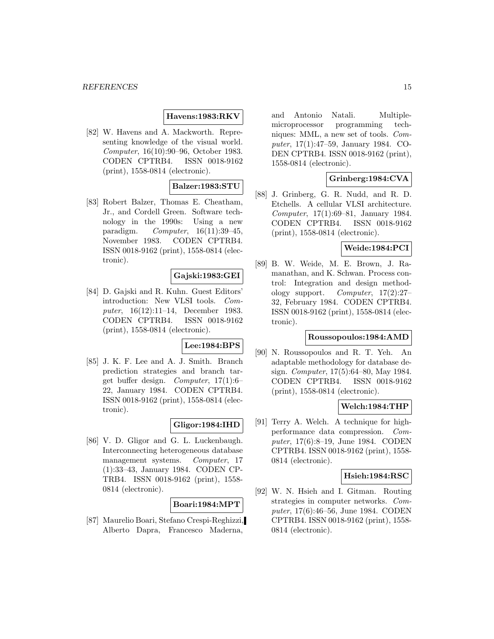#### **Havens:1983:RKV**

[82] W. Havens and A. Mackworth. Representing knowledge of the visual world. Computer, 16(10):90–96, October 1983. CODEN CPTRB4. ISSN 0018-9162 (print), 1558-0814 (electronic).

### **Balzer:1983:STU**

[83] Robert Balzer, Thomas E. Cheatham, Jr., and Cordell Green. Software technology in the 1990s: Using a new paradigm. Computer, 16(11):39–45, November 1983. CODEN CPTRB4. ISSN 0018-9162 (print), 1558-0814 (electronic).

# **Gajski:1983:GEI**

[84] D. Gajski and R. Kuhn. Guest Editors' introduction: New VLSI tools. Computer, 16(12):11–14, December 1983. CODEN CPTRB4. ISSN 0018-9162 (print), 1558-0814 (electronic).

### **Lee:1984:BPS**

[85] J. K. F. Lee and A. J. Smith. Branch prediction strategies and branch target buffer design. Computer, 17(1):6– 22, January 1984. CODEN CPTRB4. ISSN 0018-9162 (print), 1558-0814 (electronic).

#### **Gligor:1984:IHD**

[86] V. D. Gligor and G. L. Luckenbaugh. Interconnecting heterogeneous database management systems. Computer, 17 (1):33–43, January 1984. CODEN CP-TRB4. ISSN 0018-9162 (print), 1558- 0814 (electronic).

#### **Boari:1984:MPT**

[87] Maurelio Boari, Stefano Crespi-Reghizzi, Alberto Dapra, Francesco Maderna,

and Antonio Natali. Multiplemicroprocessor programming techniques: MML, a new set of tools. Computer, 17(1):47–59, January 1984. CO-DEN CPTRB4. ISSN 0018-9162 (print), 1558-0814 (electronic).

#### **Grinberg:1984:CVA**

[88] J. Grinberg, G. R. Nudd, and R. D. Etchells. A cellular VLSI architecture. Computer, 17(1):69–81, January 1984. CODEN CPTRB4. ISSN 0018-9162 (print), 1558-0814 (electronic).

#### **Weide:1984:PCI**

[89] B. W. Weide, M. E. Brown, J. Ramanathan, and K. Schwan. Process control: Integration and design methodology support. Computer, 17(2):27– 32, February 1984. CODEN CPTRB4. ISSN 0018-9162 (print), 1558-0814 (electronic).

#### **Roussopoulos:1984:AMD**

[90] N. Roussopoulos and R. T. Yeh. An adaptable methodology for database design. Computer, 17(5):64–80, May 1984. CODEN CPTRB4. ISSN 0018-9162 (print), 1558-0814 (electronic).

#### **Welch:1984:THP**

[91] Terry A. Welch. A technique for highperformance data compression. Computer, 17(6):8–19, June 1984. CODEN CPTRB4. ISSN 0018-9162 (print), 1558- 0814 (electronic).

#### **Hsieh:1984:RSC**

[92] W. N. Hsieh and I. Gitman. Routing strategies in computer networks. Computer, 17(6):46–56, June 1984. CODEN CPTRB4. ISSN 0018-9162 (print), 1558- 0814 (electronic).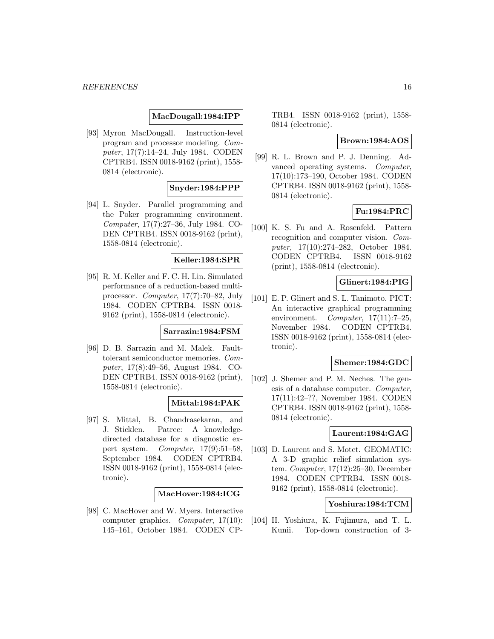#### **MacDougall:1984:IPP**

[93] Myron MacDougall. Instruction-level program and processor modeling. Computer, 17(7):14–24, July 1984. CODEN CPTRB4. ISSN 0018-9162 (print), 1558- 0814 (electronic).

#### **Snyder:1984:PPP**

[94] L. Snyder. Parallel programming and the Poker programming environment. Computer, 17(7):27–36, July 1984. CO-DEN CPTRB4. ISSN 0018-9162 (print), 1558-0814 (electronic).

#### **Keller:1984:SPR**

[95] R. M. Keller and F. C. H. Lin. Simulated performance of a reduction-based multiprocessor. Computer, 17(7):70–82, July 1984. CODEN CPTRB4. ISSN 0018- 9162 (print), 1558-0814 (electronic).

#### **Sarrazin:1984:FSM**

[96] D. B. Sarrazin and M. Malek. Faulttolerant semiconductor memories. Computer, 17(8):49–56, August 1984. CO-DEN CPTRB4. ISSN 0018-9162 (print), 1558-0814 (electronic).

### **Mittal:1984:PAK**

[97] S. Mittal, B. Chandrasekaran, and J. Sticklen. Patrec: A knowledgedirected database for a diagnostic expert system. Computer, 17(9):51–58, September 1984. CODEN CPTRB4. ISSN 0018-9162 (print), 1558-0814 (electronic).

#### **MacHover:1984:ICG**

[98] C. MacHover and W. Myers. Interactive computer graphics. Computer, 17(10): 145–161, October 1984. CODEN CP-

TRB4. ISSN 0018-9162 (print), 1558- 0814 (electronic).

#### **Brown:1984:AOS**

[99] R. L. Brown and P. J. Denning. Advanced operating systems. Computer, 17(10):173–190, October 1984. CODEN CPTRB4. ISSN 0018-9162 (print), 1558- 0814 (electronic).

#### **Fu:1984:PRC**

[100] K. S. Fu and A. Rosenfeld. Pattern recognition and computer vision. Computer, 17(10):274–282, October 1984. CODEN CPTRB4. ISSN 0018-9162 (print), 1558-0814 (electronic).

# **Glinert:1984:PIG**

[101] E. P. Glinert and S. L. Tanimoto. PICT: An interactive graphical programming environment. Computer,  $17(11):7-25$ , November 1984. CODEN CPTRB4. ISSN 0018-9162 (print), 1558-0814 (electronic).

#### **Shemer:1984:GDC**

[102] J. Shemer and P. M. Neches. The genesis of a database computer. Computer, 17(11):42–??, November 1984. CODEN CPTRB4. ISSN 0018-9162 (print), 1558- 0814 (electronic).

#### **Laurent:1984:GAG**

[103] D. Laurent and S. Motet. GEOMATIC: A 3-D graphic relief simulation system. Computer, 17(12):25–30, December 1984. CODEN CPTRB4. ISSN 0018- 9162 (print), 1558-0814 (electronic).

#### **Yoshiura:1984:TCM**

[104] H. Yoshiura, K. Fujimura, and T. L. Kunii. Top-down construction of 3-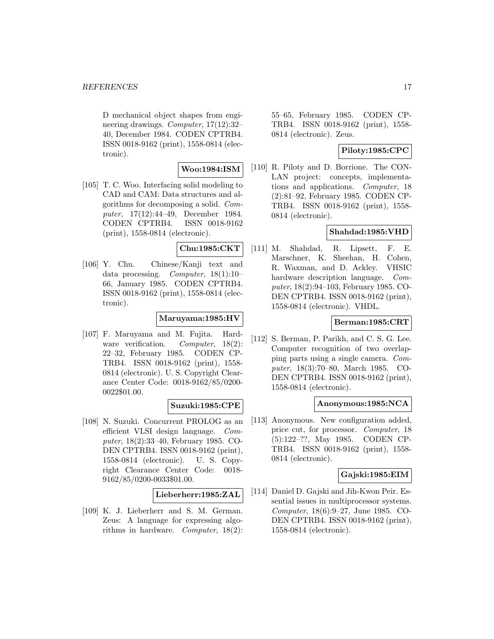#### *REFERENCES* 17

D mechanical object shapes from engineering drawings. Computer, 17(12):32– 40, December 1984. CODEN CPTRB4. ISSN 0018-9162 (print), 1558-0814 (electronic).

# **Woo:1984:ISM**

[105] T. C. Woo. Interfacing solid modeling to CAD and CAM: Data structures and algorithms for decomposing a solid. Computer, 17(12):44–49, December 1984. CODEN CPTRB4. ISSN 0018-9162 (print), 1558-0814 (electronic).

# **Chu:1985:CKT**

[106] Y. Chu. Chinese/Kanji text and data processing. Computer, 18(1):10– 66, January 1985. CODEN CPTRB4. ISSN 0018-9162 (print), 1558-0814 (electronic).

# **Maruyama:1985:HV**

[107] F. Maruyama and M. Fujita. Hardware verification. Computer, 18(2): 22–32, February 1985. CODEN CP-TRB4. ISSN 0018-9162 (print), 1558- 0814 (electronic). U. S. Copyright Clearance Center Code: 0018-9162/85/0200- 0022\$01.00.

#### **Suzuki:1985:CPE**

[108] N. Suzuki. Concurrent PROLOG as an efficient VLSI design language. Computer, 18(2):33–40, February 1985. CO-DEN CPTRB4. ISSN 0018-9162 (print), 1558-0814 (electronic). U. S. Copyright Clearance Center Code: 0018- 9162/85/0200-0033\$01.00.

#### **Lieberherr:1985:ZAL**

[109] K. J. Lieberherr and S. M. German. Zeus: A language for expressing algorithms in hardware. Computer, 18(2): 55–65, February 1985. CODEN CP-TRB4. ISSN 0018-9162 (print), 1558- 0814 (electronic). Zeus.

# **Piloty:1985:CPC**

[110] R. Piloty and D. Borrione. The CON-LAN project: concepts, implementations and applications. Computer, 18 (2):81–92, February 1985. CODEN CP-TRB4. ISSN 0018-9162 (print), 1558- 0814 (electronic).

#### **Shahdad:1985:VHD**

[111] M. Shahdad, R. Lipsett, F. E. Marschner, K. Sheehan, H. Cohen, R. Waxman, and D. Ackley. VHSIC hardware description language. Computer, 18(2):94–103, February 1985. CO-DEN CPTRB4. ISSN 0018-9162 (print), 1558-0814 (electronic). VHDL.

#### **Berman:1985:CRT**

[112] S. Berman, P. Parikh, and C. S. G. Lee. Computer recognition of two overlapping parts using a single camera. Computer, 18(3):70–80, March 1985. CO-DEN CPTRB4. ISSN 0018-9162 (print), 1558-0814 (electronic).

#### **Anonymous:1985:NCA**

[113] Anonymous. New configuration added, price cut, for processor. Computer, 18 (5):122–??, May 1985. CODEN CP-TRB4. ISSN 0018-9162 (print), 1558- 0814 (electronic).

#### **Gajski:1985:EIM**

[114] Daniel D. Gajski and Jih-Kwon Peir. Essential issues in multiprocessor systems. Computer, 18(6):9–27, June 1985. CO-DEN CPTRB4. ISSN 0018-9162 (print), 1558-0814 (electronic).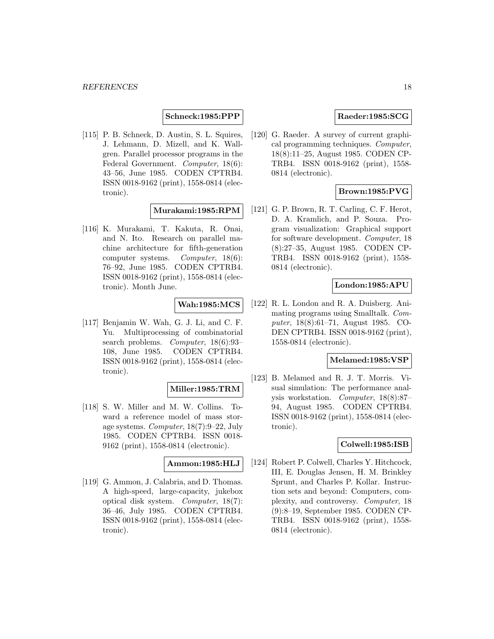#### **Schneck:1985:PPP**

[115] P. B. Schneck, D. Austin, S. L. Squires, J. Lehmann, D. Mizell, and K. Wallgren. Parallel processor programs in the Federal Government. Computer, 18(6): 43–56, June 1985. CODEN CPTRB4. ISSN 0018-9162 (print), 1558-0814 (electronic).

# **Murakami:1985:RPM**

[116] K. Murakami, T. Kakuta, R. Onai, and N. Ito. Research on parallel machine architecture for fifth-generation computer systems. Computer, 18(6): 76–92, June 1985. CODEN CPTRB4. ISSN 0018-9162 (print), 1558-0814 (electronic). Month June.

# **Wah:1985:MCS**

[117] Benjamin W. Wah, G. J. Li, and C. F. Yu. Multiprocessing of combinatorial search problems. Computer, 18(6):93– 108, June 1985. CODEN CPTRB4. ISSN 0018-9162 (print), 1558-0814 (electronic).

#### **Miller:1985:TRM**

[118] S. W. Miller and M. W. Collins. Toward a reference model of mass storage systems. Computer, 18(7):9–22, July 1985. CODEN CPTRB4. ISSN 0018- 9162 (print), 1558-0814 (electronic).

#### **Ammon:1985:HLJ**

[119] G. Ammon, J. Calabria, and D. Thomas. A high-speed, large-capacity, jukebox optical disk system. Computer, 18(7): 36–46, July 1985. CODEN CPTRB4. ISSN 0018-9162 (print), 1558-0814 (electronic).

# **Raeder:1985:SCG**

[120] G. Raeder. A survey of current graphical programming techniques. Computer, 18(8):11–25, August 1985. CODEN CP-TRB4. ISSN 0018-9162 (print), 1558- 0814 (electronic).

# **Brown:1985:PVG**

[121] G. P. Brown, R. T. Carling, C. F. Herot, D. A. Kramlich, and P. Souza. Program visualization: Graphical support for software development. Computer, 18 (8):27–35, August 1985. CODEN CP-TRB4. ISSN 0018-9162 (print), 1558- 0814 (electronic).

#### **London:1985:APU**

[122] R. L. London and R. A. Duisberg. Animating programs using Smalltalk. Computer, 18(8):61–71, August 1985. CO-DEN CPTRB4. ISSN 0018-9162 (print), 1558-0814 (electronic).

# **Melamed:1985:VSP**

[123] B. Melamed and R. J. T. Morris. Visual simulation: The performance analysis workstation. Computer, 18(8):87– 94, August 1985. CODEN CPTRB4. ISSN 0018-9162 (print), 1558-0814 (electronic).

#### **Colwell:1985:ISB**

[124] Robert P. Colwell, Charles Y. Hitchcock, III, E. Douglas Jensen, H. M. Brinkley Sprunt, and Charles P. Kollar. Instruction sets and beyond: Computers, complexity, and controversy. Computer, 18 (9):8–19, September 1985. CODEN CP-TRB4. ISSN 0018-9162 (print), 1558- 0814 (electronic).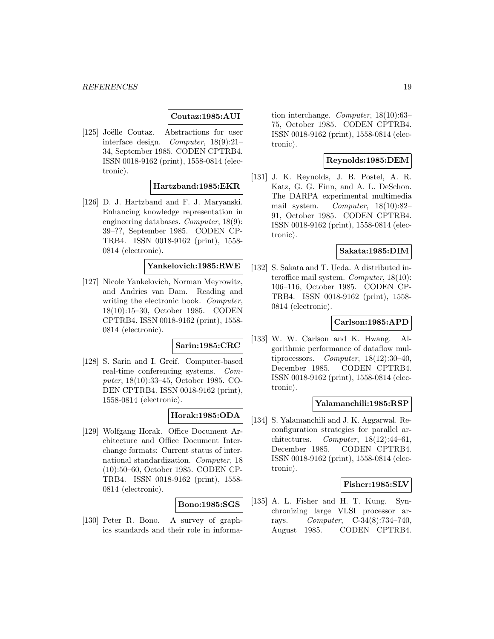# **Coutaz:1985:AUI**

[125] Joëlle Coutaz. Abstractions for user interface design. Computer, 18(9):21– 34, September 1985. CODEN CPTRB4. ISSN 0018-9162 (print), 1558-0814 (electronic).

# **Hartzband:1985:EKR**

[126] D. J. Hartzband and F. J. Maryanski. Enhancing knowledge representation in engineering databases. Computer, 18(9): 39–??, September 1985. CODEN CP-TRB4. ISSN 0018-9162 (print), 1558- 0814 (electronic).

# **Yankelovich:1985:RWE**

[127] Nicole Yankelovich, Norman Meyrowitz, and Andries van Dam. Reading and writing the electronic book. Computer, 18(10):15–30, October 1985. CODEN CPTRB4. ISSN 0018-9162 (print), 1558- 0814 (electronic).

# **Sarin:1985:CRC**

[128] S. Sarin and I. Greif. Computer-based real-time conferencing systems. Computer, 18(10):33–45, October 1985. CO-DEN CPTRB4. ISSN 0018-9162 (print), 1558-0814 (electronic).

# **Horak:1985:ODA**

[129] Wolfgang Horak. Office Document Architecture and Office Document Interchange formats: Current status of international standardization. Computer, 18 (10):50–60, October 1985. CODEN CP-TRB4. ISSN 0018-9162 (print), 1558- 0814 (electronic).

#### **Bono:1985:SGS**

[130] Peter R. Bono. A survey of graphics standards and their role in information interchange. Computer, 18(10):63– 75, October 1985. CODEN CPTRB4. ISSN 0018-9162 (print), 1558-0814 (electronic).

# **Reynolds:1985:DEM**

[131] J. K. Reynolds, J. B. Postel, A. R. Katz, G. G. Finn, and A. L. DeSchon. The DARPA experimental multimedia mail system. Computer, 18(10):82– 91, October 1985. CODEN CPTRB4. ISSN 0018-9162 (print), 1558-0814 (electronic).

#### **Sakata:1985:DIM**

[132] S. Sakata and T. Ueda. A distributed interoffice mail system. Computer, 18(10): 106–116, October 1985. CODEN CP-TRB4. ISSN 0018-9162 (print), 1558- 0814 (electronic).

#### **Carlson:1985:APD**

[133] W. W. Carlson and K. Hwang. Algorithmic performance of dataflow multiprocessors. Computer,  $18(12):30-40$ , December 1985. CODEN CPTRB4. ISSN 0018-9162 (print), 1558-0814 (electronic).

#### **Yalamanchili:1985:RSP**

[134] S. Yalamanchili and J. K. Aggarwal. Reconfiguration strategies for parallel architectures. Computer,  $18(12):44-61$ , December 1985. CODEN CPTRB4. ISSN 0018-9162 (print), 1558-0814 (electronic).

#### **Fisher:1985:SLV**

[135] A. L. Fisher and H. T. Kung. Synchronizing large VLSI processor arrays. Computer, C-34(8):734–740, August 1985. CODEN CPTRB4.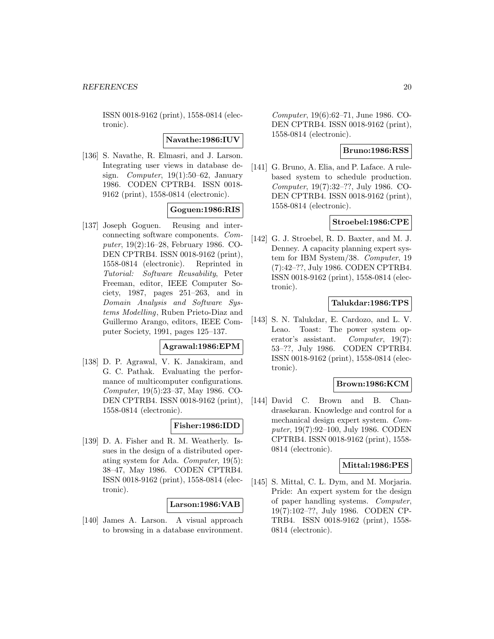ISSN 0018-9162 (print), 1558-0814 (electronic).

**Navathe:1986:IUV**

[136] S. Navathe, R. Elmasri, and J. Larson. Integrating user views in database design. Computer, 19(1):50–62, January 1986. CODEN CPTRB4. ISSN 0018- 9162 (print), 1558-0814 (electronic).

#### **Goguen:1986:RIS**

[137] Joseph Goguen. Reusing and interconnecting software components. Computer, 19(2):16–28, February 1986. CO-DEN CPTRB4. ISSN 0018-9162 (print), 1558-0814 (electronic). Reprinted in Tutorial: Software Reusability, Peter Freeman, editor, IEEE Computer Society, 1987, pages 251–263, and in Domain Analysis and Software Systems Modelling, Ruben Prieto-Diaz and Guillermo Arango, editors, IEEE Computer Society, 1991, pages 125–137.

#### **Agrawal:1986:EPM**

[138] D. P. Agrawal, V. K. Janakiram, and G. C. Pathak. Evaluating the performance of multicomputer configurations. Computer, 19(5):23–37, May 1986. CO-DEN CPTRB4. ISSN 0018-9162 (print), 1558-0814 (electronic).

# **Fisher:1986:IDD**

[139] D. A. Fisher and R. M. Weatherly. Issues in the design of a distributed operating system for Ada. Computer, 19(5): 38–47, May 1986. CODEN CPTRB4. ISSN 0018-9162 (print), 1558-0814 (electronic).

# **Larson:1986:VAB**

[140] James A. Larson. A visual approach to browsing in a database environment. Computer, 19(6):62–71, June 1986. CO-DEN CPTRB4. ISSN 0018-9162 (print), 1558-0814 (electronic).

#### **Bruno:1986:RSS**

[141] G. Bruno, A. Elia, and P. Laface. A rulebased system to schedule production. Computer, 19(7):32–??, July 1986. CO-DEN CPTRB4. ISSN 0018-9162 (print), 1558-0814 (electronic).

#### **Stroebel:1986:CPE**

[142] G. J. Stroebel, R. D. Baxter, and M. J. Denney. A capacity planning expert system for IBM System/38. Computer, 19 (7):42–??, July 1986. CODEN CPTRB4. ISSN 0018-9162 (print), 1558-0814 (electronic).

#### **Talukdar:1986:TPS**

[143] S. N. Talukdar, E. Cardozo, and L. V. Leao. Toast: The power system operator's assistant. Computer, 19(7): 53–??, July 1986. CODEN CPTRB4. ISSN 0018-9162 (print), 1558-0814 (electronic).

#### **Brown:1986:KCM**

[144] David C. Brown and B. Chandrasekaran. Knowledge and control for a mechanical design expert system. Computer, 19(7):92–100, July 1986. CODEN CPTRB4. ISSN 0018-9162 (print), 1558- 0814 (electronic).

# **Mittal:1986:PES**

[145] S. Mittal, C. L. Dym, and M. Morjaria. Pride: An expert system for the design of paper handling systems. Computer, 19(7):102–??, July 1986. CODEN CP-TRB4. ISSN 0018-9162 (print), 1558- 0814 (electronic).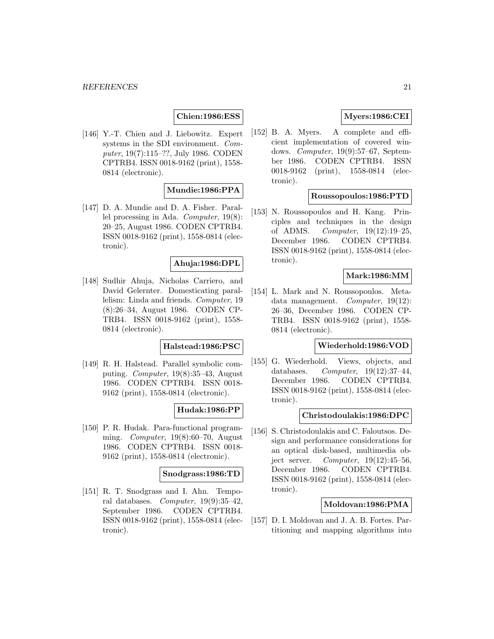#### **Chien:1986:ESS**

[146] Y.-T. Chien and J. Liebowitz. Expert systems in the SDI environment. Computer, 19(7):115–??, July 1986. CODEN CPTRB4. ISSN 0018-9162 (print), 1558- 0814 (electronic).

# **Mundie:1986:PPA**

[147] D. A. Mundie and D. A. Fisher. Parallel processing in Ada. Computer, 19(8): 20–25, August 1986. CODEN CPTRB4. ISSN 0018-9162 (print), 1558-0814 (electronic).

#### **Ahuja:1986:DPL**

[148] Sudhir Ahuja, Nicholas Carriero, and David Gelernter. Domesticating parallelism: Linda and friends. Computer, 19 (8):26–34, August 1986. CODEN CP-TRB4. ISSN 0018-9162 (print), 1558- 0814 (electronic).

#### **Halstead:1986:PSC**

[149] R. H. Halstead. Parallel symbolic computing. Computer, 19(8):35–43, August 1986. CODEN CPTRB4. ISSN 0018- 9162 (print), 1558-0814 (electronic).

#### **Hudak:1986:PP**

[150] P. R. Hudak. Para-functional programming. Computer, 19(8):60–70, August 1986. CODEN CPTRB4. ISSN 0018- 9162 (print), 1558-0814 (electronic).

#### **Snodgrass:1986:TD**

[151] R. T. Snodgrass and I. Ahn. Temporal databases. Computer, 19(9):35–42, September 1986. CODEN CPTRB4. ISSN 0018-9162 (print), 1558-0814 (electronic).

# **Myers:1986:CEI**

[152] B. A. Myers. A complete and efficient implementation of covered windows. Computer, 19(9):57–67, September 1986. CODEN CPTRB4. ISSN 0018-9162 (print), 1558-0814 (electronic).

#### **Roussopoulos:1986:PTD**

[153] N. Roussopoulos and H. Kang. Principles and techniques in the design of ADMS. Computer, 19(12):19–25, December 1986. CODEN CPTRB4. ISSN 0018-9162 (print), 1558-0814 (electronic).

#### **Mark:1986:MM**

[154] L. Mark and N. Roussopoulos. Metadata management. Computer, 19(12): 26–36, December 1986. CODEN CP-TRB4. ISSN 0018-9162 (print), 1558- 0814 (electronic).

### **Wiederhold:1986:VOD**

[155] G. Wiederhold. Views, objects, and databases. Computer,  $19(12):37-44$ , December 1986. CODEN CPTRB4. ISSN 0018-9162 (print), 1558-0814 (electronic).

#### **Christodoulakis:1986:DPC**

[156] S. Christodoulakis and C. Faloutsos. Design and performance considerations for an optical disk-based, multimedia object server. Computer,  $19(12):45-56$ , December 1986. CODEN CPTRB4. ISSN 0018-9162 (print), 1558-0814 (electronic).

#### **Moldovan:1986:PMA**

[157] D. I. Moldovan and J. A. B. Fortes. Partitioning and mapping algorithms into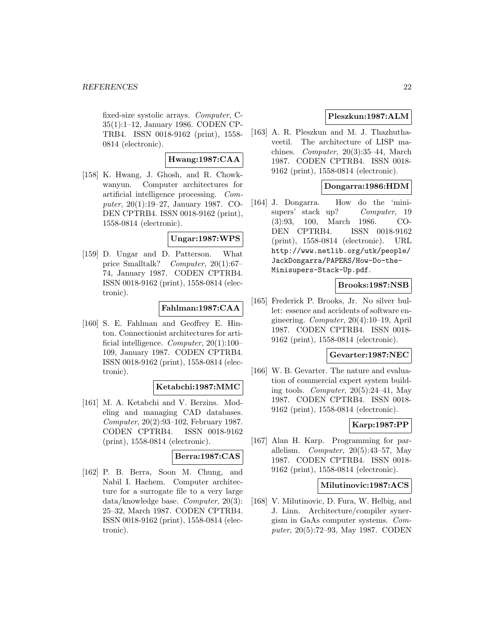fixed-size systolic arrays. Computer, C-35(1):1–12, January 1986. CODEN CP-TRB4. ISSN 0018-9162 (print), 1558- 0814 (electronic).

# **Hwang:1987:CAA**

[158] K. Hwang, J. Ghosh, and R. Chowkwanyun. Computer architectures for artificial intelligence processing. Computer, 20(1):19–27, January 1987. CO-DEN CPTRB4. ISSN 0018-9162 (print), 1558-0814 (electronic).

**Ungar:1987:WPS**

[159] D. Ungar and D. Patterson. What price Smalltalk? Computer, 20(1):67– 74, January 1987. CODEN CPTRB4. ISSN 0018-9162 (print), 1558-0814 (electronic).

#### **Fahlman:1987:CAA**

[160] S. E. Fahlman and Geoffrey E. Hinton. Connectionist architectures for artificial intelligence. Computer, 20(1):100– 109, January 1987. CODEN CPTRB4. ISSN 0018-9162 (print), 1558-0814 (electronic).

#### **Ketabchi:1987:MMC**

[161] M. A. Ketabchi and V. Berzins. Modeling and managing CAD databases. Computer, 20(2):93–102, February 1987. CODEN CPTRB4. ISSN 0018-9162 (print), 1558-0814 (electronic).

#### **Berra:1987:CAS**

[162] P. B. Berra, Soon M. Chung, and Nabil I. Hachem. Computer architecture for a surrogate file to a very large data/knowledge base. Computer, 20(3): 25–32, March 1987. CODEN CPTRB4. ISSN 0018-9162 (print), 1558-0814 (electronic).

# **Pleszkun:1987:ALM**

[163] A. R. Pleszkun and M. J. Thazhuthaveetil. The architecture of LISP machines. Computer, 20(3):35–44, March 1987. CODEN CPTRB4. ISSN 0018- 9162 (print), 1558-0814 (electronic).

# **Dongarra:1986:HDM**

[164] J. Dongarra. How do the 'minisupers' stack up? Computer, 19 (3):93, 100, March 1986. CO-DEN CPTRB4. ISSN 0018-9162 (print), 1558-0814 (electronic). URL http://www.netlib.org/utk/people/ JackDongarra/PAPERS/How-Do-the-Minisupers-Stack-Up.pdf.

# **Brooks:1987:NSB**

[165] Frederick P. Brooks, Jr. No silver bullet: essence and accidents of software engineering. Computer, 20(4):10–19, April 1987. CODEN CPTRB4. ISSN 0018- 9162 (print), 1558-0814 (electronic).

#### **Gevarter:1987:NEC**

[166] W. B. Gevarter. The nature and evaluation of commercial expert system building tools. Computer,  $20(5):24-41$ , May 1987. CODEN CPTRB4. ISSN 0018- 9162 (print), 1558-0814 (electronic).

#### **Karp:1987:PP**

[167] Alan H. Karp. Programming for parallelism. *Computer*,  $20(5):43-57$ , May 1987. CODEN CPTRB4. ISSN 0018- 9162 (print), 1558-0814 (electronic).

#### **Milutinovic:1987:ACS**

[168] V. Milutinovic, D. Fura, W. Helbig, and J. Linn. Architecture/compiler synergism in GaAs computer systems. Computer, 20(5):72–93, May 1987. CODEN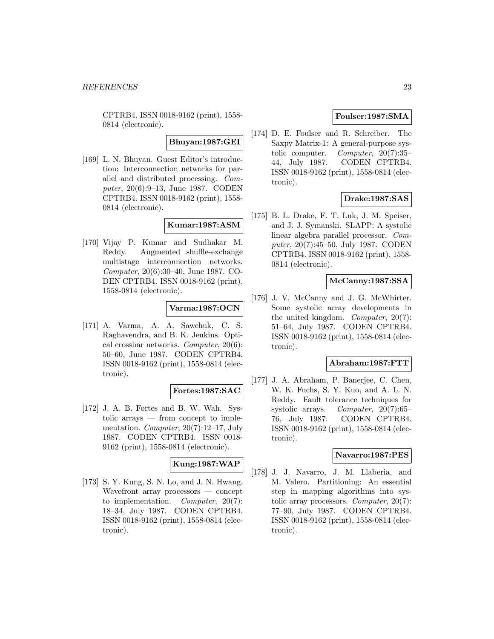CPTRB4. ISSN 0018-9162 (print), 1558- 0814 (electronic).

**Bhuyan:1987:GEI**

[169] L. N. Bhuyan. Guest Editor's introduction: Interconnection networks for parallel and distributed processing. Computer, 20(6):9–13, June 1987. CODEN CPTRB4. ISSN 0018-9162 (print), 1558- 0814 (electronic).

# **Kumar:1987:ASM**

[170] Vijay P. Kumar and Sudhakar M. Reddy. Augmented shuffle-exchange multistage interconnection networks. Computer, 20(6):30–40, June 1987. CO-DEN CPTRB4. ISSN 0018-9162 (print), 1558-0814 (electronic).

# **Varma:1987:OCN**

[171] A. Varma, A. A. Sawchuk, C. S. Raghavendra, and B. K. Jenkins. Optical crossbar networks. Computer, 20(6): 50–60, June 1987. CODEN CPTRB4. ISSN 0018-9162 (print), 1558-0814 (electronic).

#### **Fortes:1987:SAC**

[172] J. A. B. Fortes and B. W. Wah. Systolic arrays — from concept to implementation. Computer, 20(7):12–17, July 1987. CODEN CPTRB4. ISSN 0018- 9162 (print), 1558-0814 (electronic).

### **Kung:1987:WAP**

[173] S. Y. Kung, S. N. Lo, and J. N. Hwang. Wavefront array processors — concept to implementation. Computer, 20(7): 18–34, July 1987. CODEN CPTRB4. ISSN 0018-9162 (print), 1558-0814 (electronic).

# **Foulser:1987:SMA**

[174] D. E. Foulser and R. Schreiber. The Saxpy Matrix-1: A general-purpose systolic computer. Computer, 20(7):35– 44, July 1987. CODEN CPTRB4. ISSN 0018-9162 (print), 1558-0814 (electronic).

# **Drake:1987:SAS**

[175] B. L. Drake, F. T. Luk, J. M. Speiser, and J. J. Symanski. SLAPP: A systolic linear algebra parallel processor. Computer, 20(7):45–50, July 1987. CODEN CPTRB4. ISSN 0018-9162 (print), 1558- 0814 (electronic).

### **McCanny:1987:SSA**

[176] J. V. McCanny and J. G. McWhirter. Some systolic array developments in the united kingdom. Computer, 20(7): 51–64, July 1987. CODEN CPTRB4. ISSN 0018-9162 (print), 1558-0814 (electronic).

#### **Abraham:1987:FTT**

[177] J. A. Abraham, P. Banerjee, C. Chen, W. K. Fuchs, S. Y. Kuo, and A. L. N. Reddy. Fault tolerance techniques for systolic arrays. Computer, 20(7):65– 76, July 1987. CODEN CPTRB4. ISSN 0018-9162 (print), 1558-0814 (electronic).

#### **Navarro:1987:PES**

[178] J. J. Navarro, J. M. Llaberia, and M. Valero. Partitioning: An essential step in mapping algorithms into systolic array processors. Computer,  $20(7)$ : 77–90, July 1987. CODEN CPTRB4. ISSN 0018-9162 (print), 1558-0814 (electronic).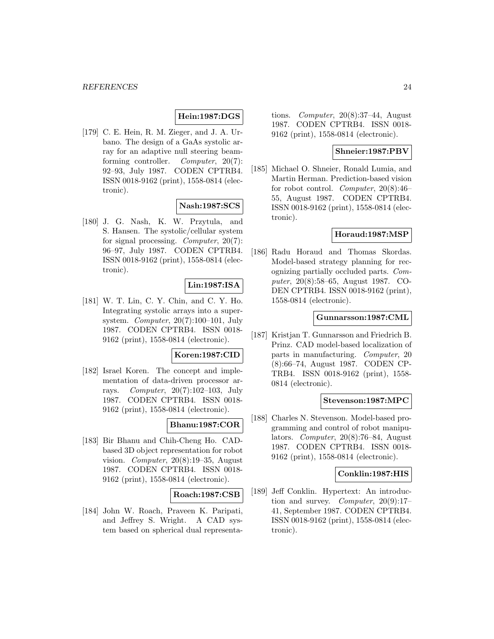# **Hein:1987:DGS**

[179] C. E. Hein, R. M. Zieger, and J. A. Urbano. The design of a GaAs systolic array for an adaptive null steering beamforming controller. Computer, 20(7): 92–93, July 1987. CODEN CPTRB4. ISSN 0018-9162 (print), 1558-0814 (electronic).

#### **Nash:1987:SCS**

[180] J. G. Nash, K. W. Przytula, and S. Hansen. The systolic/cellular system for signal processing. Computer, 20(7): 96–97, July 1987. CODEN CPTRB4. ISSN 0018-9162 (print), 1558-0814 (electronic).

#### **Lin:1987:ISA**

[181] W. T. Lin, C. Y. Chin, and C. Y. Ho. Integrating systolic arrays into a supersystem. Computer,  $20(7):100-101$ , July 1987. CODEN CPTRB4. ISSN 0018- 9162 (print), 1558-0814 (electronic).

#### **Koren:1987:CID**

[182] Israel Koren. The concept and implementation of data-driven processor arrays. Computer, 20(7):102–103, July 1987. CODEN CPTRB4. ISSN 0018- 9162 (print), 1558-0814 (electronic).

### **Bhanu:1987:COR**

[183] Bir Bhanu and Chih-Cheng Ho. CADbased 3D object representation for robot vision. Computer, 20(8):19–35, August 1987. CODEN CPTRB4. ISSN 0018- 9162 (print), 1558-0814 (electronic).

#### **Roach:1987:CSB**

[184] John W. Roach, Praveen K. Paripati, and Jeffrey S. Wright. A CAD system based on spherical dual representations. Computer,  $20(8):37-44$ , August 1987. CODEN CPTRB4. ISSN 0018- 9162 (print), 1558-0814 (electronic).

### **Shneier:1987:PBV**

[185] Michael O. Shneier, Ronald Lumia, and Martin Herman. Prediction-based vision for robot control. Computer, 20(8):46– 55, August 1987. CODEN CPTRB4. ISSN 0018-9162 (print), 1558-0814 (electronic).

#### **Horaud:1987:MSP**

[186] Radu Horaud and Thomas Skordas. Model-based strategy planning for recognizing partially occluded parts. Computer, 20(8):58–65, August 1987. CO-DEN CPTRB4. ISSN 0018-9162 (print), 1558-0814 (electronic).

#### **Gunnarsson:1987:CML**

[187] Kristjan T. Gunnarsson and Friedrich B. Prinz. CAD model-based localization of parts in manufacturing. Computer, 20 (8):66–74, August 1987. CODEN CP-TRB4. ISSN 0018-9162 (print), 1558- 0814 (electronic).

#### **Stevenson:1987:MPC**

[188] Charles N. Stevenson. Model-based programming and control of robot manipulators. Computer, 20(8):76–84, August 1987. CODEN CPTRB4. ISSN 0018- 9162 (print), 1558-0814 (electronic).

#### **Conklin:1987:HIS**

[189] Jeff Conklin. Hypertext: An introduction and survey. Computer,  $20(9):17-$ 41, September 1987. CODEN CPTRB4. ISSN 0018-9162 (print), 1558-0814 (electronic).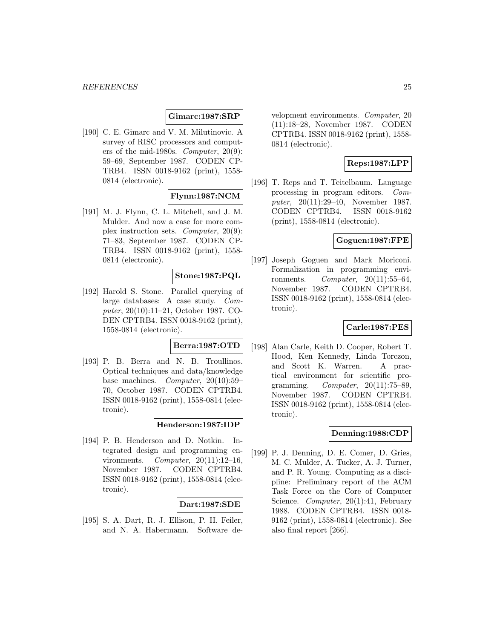#### **Gimarc:1987:SRP**

[190] C. E. Gimarc and V. M. Milutinovic. A survey of RISC processors and computers of the mid-1980s. Computer, 20(9): 59–69, September 1987. CODEN CP-TRB4. ISSN 0018-9162 (print), 1558- 0814 (electronic).

# **Flynn:1987:NCM**

[191] M. J. Flynn, C. L. Mitchell, and J. M. Mulder. And now a case for more complex instruction sets. Computer, 20(9): 71–83, September 1987. CODEN CP-TRB4. ISSN 0018-9162 (print), 1558- 0814 (electronic).

#### **Stone:1987:PQL**

[192] Harold S. Stone. Parallel querying of large databases: A case study. Computer, 20(10):11–21, October 1987. CO-DEN CPTRB4. ISSN 0018-9162 (print), 1558-0814 (electronic).

# **Berra:1987:OTD**

[193] P. B. Berra and N. B. Troullinos. Optical techniques and data/knowledge base machines. Computer, 20(10):59– 70, October 1987. CODEN CPTRB4. ISSN 0018-9162 (print), 1558-0814 (electronic).

# **Henderson:1987:IDP**

[194] P. B. Henderson and D. Notkin. Integrated design and programming environments. Computer, 20(11):12–16, November 1987. CODEN CPTRB4. ISSN 0018-9162 (print), 1558-0814 (electronic).

#### **Dart:1987:SDE**

[195] S. A. Dart, R. J. Ellison, P. H. Feiler, and N. A. Habermann. Software development environments. Computer, 20 (11):18–28, November 1987. CODEN CPTRB4. ISSN 0018-9162 (print), 1558- 0814 (electronic).

# **Reps:1987:LPP**

[196] T. Reps and T. Teitelbaum. Language processing in program editors. Computer, 20(11):29–40, November 1987. CODEN CPTRB4. ISSN 0018-9162 (print), 1558-0814 (electronic).

### **Goguen:1987:FPE**

[197] Joseph Goguen and Mark Moriconi. Formalization in programming environments.  $Computer, 20(11):55-64,$ November 1987. CODEN CPTRB4. ISSN 0018-9162 (print), 1558-0814 (electronic).

#### **Carle:1987:PES**

[198] Alan Carle, Keith D. Cooper, Robert T. Hood, Ken Kennedy, Linda Torczon, and Scott K. Warren. A practical environment for scientific programming.  $Computer, 20(11):75-89,$ November 1987. CODEN CPTRB4. ISSN 0018-9162 (print), 1558-0814 (electronic).

#### **Denning:1988:CDP**

[199] P. J. Denning, D. E. Comer, D. Gries, M. C. Mulder, A. Tucker, A. J. Turner, and P. R. Young. Computing as a discipline: Preliminary report of the ACM Task Force on the Core of Computer Science. Computer, 20(1):41, February 1988. CODEN CPTRB4. ISSN 0018- 9162 (print), 1558-0814 (electronic). See also final report [266].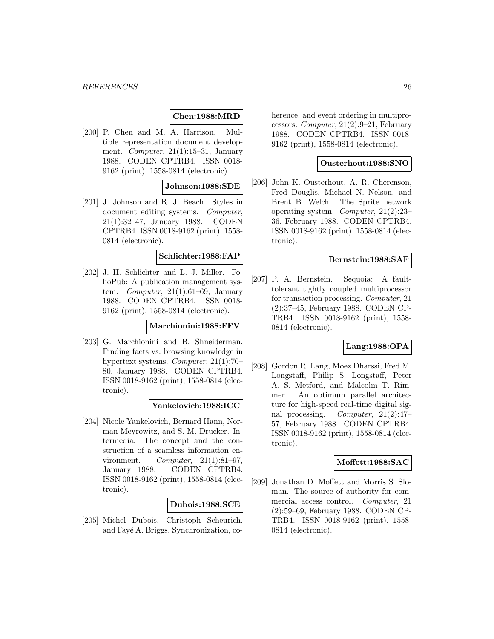# **Chen:1988:MRD**

[200] P. Chen and M. A. Harrison. Multiple representation document development. Computer,  $21(1):15-31$ , January 1988. CODEN CPTRB4. ISSN 0018- 9162 (print), 1558-0814 (electronic).

#### **Johnson:1988:SDE**

[201] J. Johnson and R. J. Beach. Styles in document editing systems. Computer, 21(1):32–47, January 1988. CODEN CPTRB4. ISSN 0018-9162 (print), 1558- 0814 (electronic).

#### **Schlichter:1988:FAP**

[202] J. H. Schlichter and L. J. Miller. FolioPub: A publication management system. Computer,  $21(1):61-69$ , January 1988. CODEN CPTRB4. ISSN 0018- 9162 (print), 1558-0814 (electronic).

#### **Marchionini:1988:FFV**

[203] G. Marchionini and B. Shneiderman. Finding facts vs. browsing knowledge in hypertext systems. Computer, 21(1):70– 80, January 1988. CODEN CPTRB4. ISSN 0018-9162 (print), 1558-0814 (electronic).

#### **Yankelovich:1988:ICC**

[204] Nicole Yankelovich, Bernard Hann, Norman Meyrowitz, and S. M. Drucker. Intermedia: The concept and the construction of a seamless information environment.  $Computer, 21(1):81-97,$ January 1988. CODEN CPTRB4. ISSN 0018-9162 (print), 1558-0814 (electronic).

#### **Dubois:1988:SCE**

[205] Michel Dubois, Christoph Scheurich, and Fayé A. Briggs. Synchronization, coherence, and event ordering in multiprocessors. Computer, 21(2):9–21, February 1988. CODEN CPTRB4. ISSN 0018- 9162 (print), 1558-0814 (electronic).

#### **Ousterhout:1988:SNO**

[206] John K. Ousterhout, A. R. Cherenson, Fred Douglis, Michael N. Nelson, and Brent B. Welch. The Sprite network operating system. Computer, 21(2):23– 36, February 1988. CODEN CPTRB4. ISSN 0018-9162 (print), 1558-0814 (electronic).

#### **Bernstein:1988:SAF**

[207] P. A. Bernstein. Sequoia: A faulttolerant tightly coupled multiprocessor for transaction processing. Computer, 21 (2):37–45, February 1988. CODEN CP-TRB4. ISSN 0018-9162 (print), 1558- 0814 (electronic).

#### **Lang:1988:OPA**

[208] Gordon R. Lang, Moez Dharssi, Fred M. Longstaff, Philip S. Longstaff, Peter A. S. Metford, and Malcolm T. Rimmer. An optimum parallel architecture for high-speed real-time digital signal processing. Computer, 21(2):47– 57, February 1988. CODEN CPTRB4. ISSN 0018-9162 (print), 1558-0814 (electronic).

#### **Moffett:1988:SAC**

[209] Jonathan D. Moffett and Morris S. Sloman. The source of authority for commercial access control. Computer, 21 (2):59–69, February 1988. CODEN CP-TRB4. ISSN 0018-9162 (print), 1558- 0814 (electronic).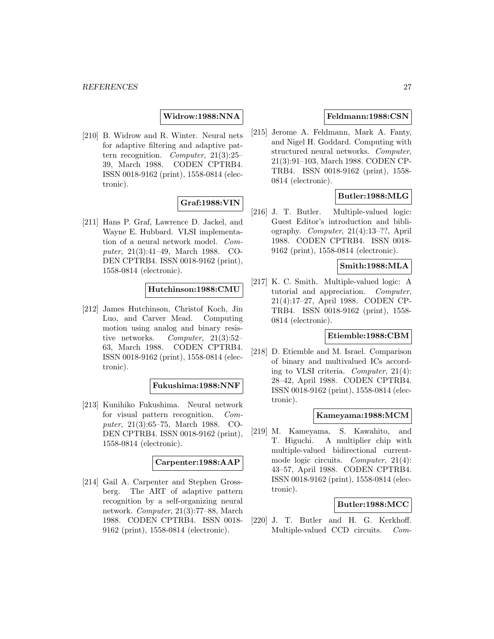**Widrow:1988:NNA**

[210] B. Widrow and R. Winter. Neural nets for adaptive filtering and adaptive pattern recognition. Computer, 21(3):25– 39, March 1988. CODEN CPTRB4. ISSN 0018-9162 (print), 1558-0814 (electronic).

# **Graf:1988:VIN**

[211] Hans P. Graf, Lawrence D. Jackel, and Wayne E. Hubbard. VLSI implementation of a neural network model. Computer, 21(3):41–49, March 1988. CO-DEN CPTRB4. ISSN 0018-9162 (print), 1558-0814 (electronic).

#### **Hutchinson:1988:CMU**

[212] James Hutchinson, Christof Koch, Jin Luo, and Carver Mead. Computing motion using analog and binary resistive networks. Computer, 21(3):52– 63, March 1988. CODEN CPTRB4. ISSN 0018-9162 (print), 1558-0814 (electronic).

# **Fukushima:1988:NNF**

[213] Kunihiko Fukushima. Neural network for visual pattern recognition. Computer, 21(3):65–75, March 1988. CO-DEN CPTRB4. ISSN 0018-9162 (print), 1558-0814 (electronic).

#### **Carpenter:1988:AAP**

[214] Gail A. Carpenter and Stephen Grossberg. The ART of adaptive pattern recognition by a self-organizing neural network. Computer, 21(3):77–88, March 1988. CODEN CPTRB4. ISSN 0018- 9162 (print), 1558-0814 (electronic).

# **Feldmann:1988:CSN**

[215] Jerome A. Feldmann, Mark A. Fanty, and Nigel H. Goddard. Computing with structured neural networks. Computer, 21(3):91–103, March 1988. CODEN CP-TRB4. ISSN 0018-9162 (print), 1558- 0814 (electronic).

# **Butler:1988:MLG**

[216] J. T. Butler. Multiple-valued logic: Guest Editor's introduction and bibliography. Computer, 21(4):13–??, April 1988. CODEN CPTRB4. ISSN 0018- 9162 (print), 1558-0814 (electronic).

# **Smith:1988:MLA**

[217] K. C. Smith. Multiple-valued logic: A tutorial and appreciation. Computer, 21(4):17–27, April 1988. CODEN CP-TRB4. ISSN 0018-9162 (print), 1558- 0814 (electronic).

#### **Etiemble:1988:CBM**

[218] D. Etiemble and M. Israel. Comparison of binary and multivalued ICs according to VLSI criteria. Computer, 21(4): 28–42, April 1988. CODEN CPTRB4. ISSN 0018-9162 (print), 1558-0814 (electronic).

#### **Kameyama:1988:MCM**

[219] M. Kameyama, S. Kawahito, and T. Higuchi. A multiplier chip with multiple-valued bidirectional currentmode logic circuits. *Computer*, 21(4): 43–57, April 1988. CODEN CPTRB4. ISSN 0018-9162 (print), 1558-0814 (electronic).

### **Butler:1988:MCC**

[220] J. T. Butler and H. G. Kerkhoff. Multiple-valued CCD circuits. Com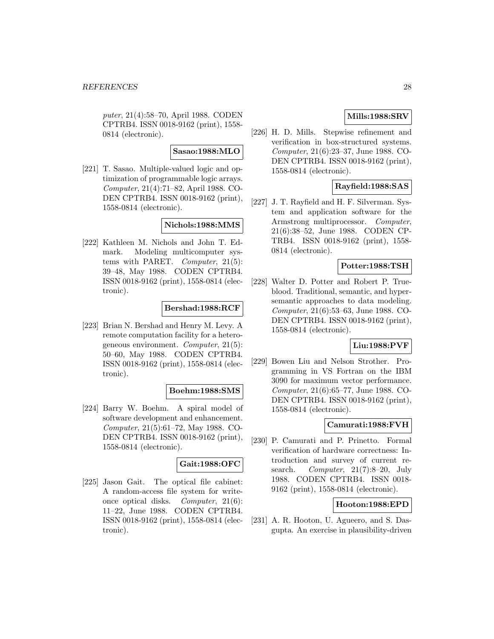puter, 21(4):58–70, April 1988. CODEN CPTRB4. ISSN 0018-9162 (print), 1558- 0814 (electronic).

#### **Sasao:1988:MLO**

[221] T. Sasao. Multiple-valued logic and optimization of programmable logic arrays. Computer, 21(4):71–82, April 1988. CO-DEN CPTRB4. ISSN 0018-9162 (print), 1558-0814 (electronic).

### **Nichols:1988:MMS**

[222] Kathleen M. Nichols and John T. Edmark. Modeling multicomputer systems with PARET. Computer, 21(5): 39–48, May 1988. CODEN CPTRB4. ISSN 0018-9162 (print), 1558-0814 (electronic).

#### **Bershad:1988:RCF**

[223] Brian N. Bershad and Henry M. Levy. A remote computation facility for a heterogeneous environment. Computer, 21(5): 50–60, May 1988. CODEN CPTRB4. ISSN 0018-9162 (print), 1558-0814 (electronic).

#### **Boehm:1988:SMS**

[224] Barry W. Boehm. A spiral model of software development and enhancement. Computer, 21(5):61–72, May 1988. CO-DEN CPTRB4. ISSN 0018-9162 (print), 1558-0814 (electronic).

### **Gait:1988:OFC**

[225] Jason Gait. The optical file cabinet: A random-access file system for writeonce optical disks. Computer, 21(6): 11–22, June 1988. CODEN CPTRB4. ISSN 0018-9162 (print), 1558-0814 (electronic).

# **Mills:1988:SRV**

[226] H. D. Mills. Stepwise refinement and verification in box-structured systems. Computer, 21(6):23–37, June 1988. CO-DEN CPTRB4. ISSN 0018-9162 (print), 1558-0814 (electronic).

# **Rayfield:1988:SAS**

[227] J. T. Rayfield and H. F. Silverman. System and application software for the Armstrong multiprocessor. Computer, 21(6):38–52, June 1988. CODEN CP-TRB4. ISSN 0018-9162 (print), 1558- 0814 (electronic).

#### **Potter:1988:TSH**

[228] Walter D. Potter and Robert P. Trueblood. Traditional, semantic, and hypersemantic approaches to data modeling. Computer, 21(6):53–63, June 1988. CO-DEN CPTRB4. ISSN 0018-9162 (print), 1558-0814 (electronic).

# **Liu:1988:PVF**

[229] Bowen Liu and Nelson Strother. Programming in VS Fortran on the IBM 3090 for maximum vector performance. Computer, 21(6):65–77, June 1988. CO-DEN CPTRB4. ISSN 0018-9162 (print), 1558-0814 (electronic).

### **Camurati:1988:FVH**

[230] P. Camurati and P. Prinetto. Formal verification of hardware correctness: Introduction and survey of current research. Computer,  $21(7):8-20$ , July 1988. CODEN CPTRB4. ISSN 0018- 9162 (print), 1558-0814 (electronic).

#### **Hooton:1988:EPD**

[231] A. R. Hooton, U. Agueero, and S. Dasgupta. An exercise in plausibility-driven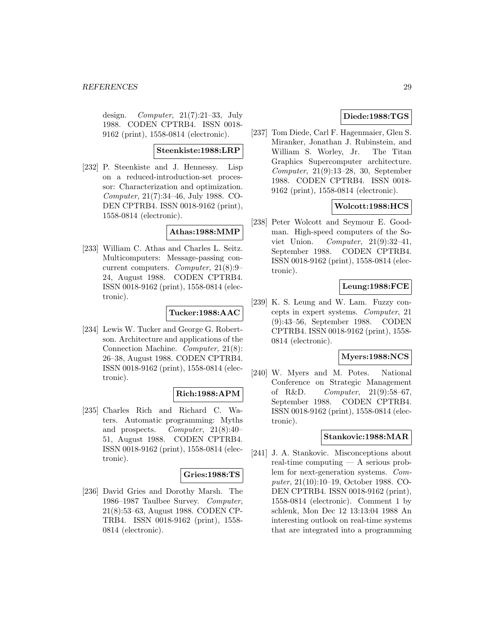design. Computer, 21(7):21–33, July 1988. CODEN CPTRB4. ISSN 0018- 9162 (print), 1558-0814 (electronic).

#### **Steenkiste:1988:LRP**

[232] P. Steenkiste and J. Hennessy. Lisp on a reduced-introduction-set processor: Characterization and optimization. Computer, 21(7):34–46, July 1988. CO-DEN CPTRB4. ISSN 0018-9162 (print), 1558-0814 (electronic).

#### **Athas:1988:MMP**

[233] William C. Athas and Charles L. Seitz. Multicomputers: Message-passing concurrent computers. Computer, 21(8):9– 24, August 1988. CODEN CPTRB4. ISSN 0018-9162 (print), 1558-0814 (electronic).

# **Tucker:1988:AAC**

[234] Lewis W. Tucker and George G. Robertson. Architecture and applications of the Connection Machine. Computer, 21(8): 26–38, August 1988. CODEN CPTRB4. ISSN 0018-9162 (print), 1558-0814 (electronic).

#### **Rich:1988:APM**

[235] Charles Rich and Richard C. Waters. Automatic programming: Myths and prospects. Computer, 21(8):40– 51, August 1988. CODEN CPTRB4. ISSN 0018-9162 (print), 1558-0814 (electronic).

#### **Gries:1988:TS**

[236] David Gries and Dorothy Marsh. The 1986–1987 Taulbee Survey. Computer, 21(8):53–63, August 1988. CODEN CP-TRB4. ISSN 0018-9162 (print), 1558- 0814 (electronic).

# **Diede:1988:TGS**

[237] Tom Diede, Carl F. Hagenmaier, Glen S. Miranker, Jonathan J. Rubinstein, and William S. Worley, Jr. The Titan Graphics Supercomputer architecture. Computer, 21(9):13–28, 30, September 1988. CODEN CPTRB4. ISSN 0018- 9162 (print), 1558-0814 (electronic).

# **Wolcott:1988:HCS**

[238] Peter Wolcott and Seymour E. Goodman. High-speed computers of the Soviet Union. Computer,  $21(9):32-41$ , September 1988. CODEN CPTRB4. ISSN 0018-9162 (print), 1558-0814 (electronic).

#### **Leung:1988:FCE**

[239] K. S. Leung and W. Lam. Fuzzy concepts in expert systems. Computer, 21 (9):43–56, September 1988. CODEN CPTRB4. ISSN 0018-9162 (print), 1558- 0814 (electronic).

#### **Myers:1988:NCS**

[240] W. Myers and M. Potes. National Conference on Strategic Management of R&D. Computer,  $21(9):58-67$ , September 1988. CODEN CPTRB4. ISSN 0018-9162 (print), 1558-0814 (electronic).

#### **Stankovic:1988:MAR**

[241] J. A. Stankovic. Misconceptions about real-time computing — A serious problem for next-generation systems. Computer, 21(10):10–19, October 1988. CO-DEN CPTRB4. ISSN 0018-9162 (print), 1558-0814 (electronic). Comment 1 by schlenk, Mon Dec 12 13:13:04 1988 An interesting outlook on real-time systems that are integrated into a programming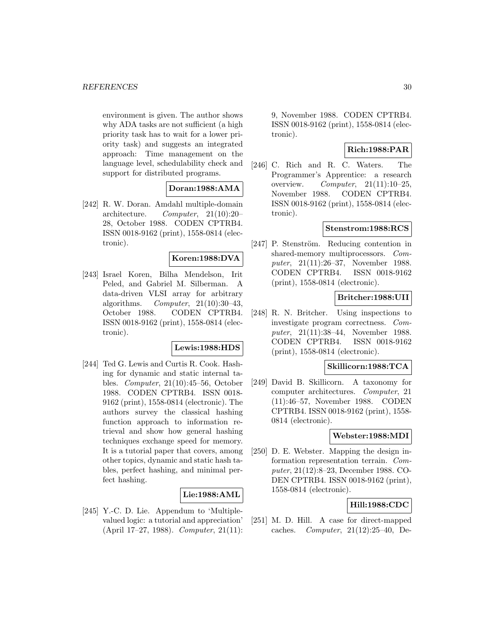environment is given. The author shows why ADA tasks are not sufficient (a high priority task has to wait for a lower priority task) and suggests an integrated approach: Time management on the language level, schedulability check and support for distributed programs.

# **Doran:1988:AMA**

[242] R. W. Doran. Amdahl multiple-domain architecture. Computer, 21(10):20– 28, October 1988. CODEN CPTRB4. ISSN 0018-9162 (print), 1558-0814 (electronic).

#### **Koren:1988:DVA**

[243] Israel Koren, Bilha Mendelson, Irit Peled, and Gabriel M. Silberman. A data-driven VLSI array for arbitrary algorithms. Computer,  $21(10):30-43$ , October 1988. CODEN CPTRB4. ISSN 0018-9162 (print), 1558-0814 (electronic).

#### **Lewis:1988:HDS**

[244] Ted G. Lewis and Curtis R. Cook. Hashing for dynamic and static internal tables. Computer, 21(10):45–56, October 1988. CODEN CPTRB4. ISSN 0018- 9162 (print), 1558-0814 (electronic). The authors survey the classical hashing function approach to information retrieval and show how general hashing techniques exchange speed for memory. It is a tutorial paper that covers, among other topics, dynamic and static hash tables, perfect hashing, and minimal perfect hashing.

#### **Lie:1988:AML**

[245] Y.-C. D. Lie. Appendum to 'Multiplevalued logic: a tutorial and appreciation' (April 17–27, 1988). Computer, 21(11): 9, November 1988. CODEN CPTRB4. ISSN 0018-9162 (print), 1558-0814 (electronic).

# **Rich:1988:PAR**

[246] C. Rich and R. C. Waters. The Programmer's Apprentice: a research overview.  $Computer, 21(11):10-25,$ November 1988. CODEN CPTRB4. ISSN 0018-9162 (print), 1558-0814 (electronic).

#### **Stenstrom:1988:RCS**

[247] P. Stenström. Reducing contention in shared-memory multiprocessors. Computer, 21(11):26–37, November 1988. CODEN CPTRB4. ISSN 0018-9162 (print), 1558-0814 (electronic).

# **Britcher:1988:UII**

[248] R. N. Britcher. Using inspections to investigate program correctness. Computer, 21(11):38–44, November 1988. CODEN CPTRB4. ISSN 0018-9162 (print), 1558-0814 (electronic).

#### **Skillicorn:1988:TCA**

[249] David B. Skillicorn. A taxonomy for computer architectures. Computer, 21 (11):46–57, November 1988. CODEN CPTRB4. ISSN 0018-9162 (print), 1558- 0814 (electronic).

### **Webster:1988:MDI**

[250] D. E. Webster. Mapping the design information representation terrain. Computer, 21(12):8–23, December 1988. CO-DEN CPTRB4. ISSN 0018-9162 (print), 1558-0814 (electronic).

# **Hill:1988:CDC**

[251] M. D. Hill. A case for direct-mapped caches. Computer, 21(12):25–40, De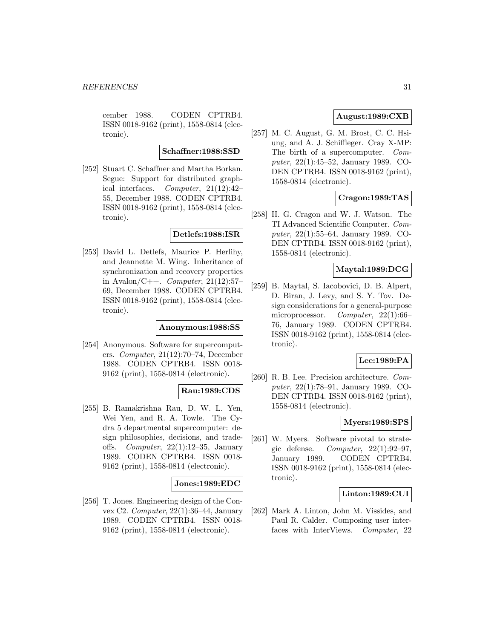cember 1988. CODEN CPTRB4. ISSN 0018-9162 (print), 1558-0814 (electronic).

#### **Schaffner:1988:SSD**

[252] Stuart C. Schaffner and Martha Borkan. Segue: Support for distributed graphical interfaces. Computer, 21(12):42– 55, December 1988. CODEN CPTRB4. ISSN 0018-9162 (print), 1558-0814 (electronic).

# **Detlefs:1988:ISR**

[253] David L. Detlefs, Maurice P. Herlihy, and Jeannette M. Wing. Inheritance of synchronization and recovery properties in Avalon/C++. *Computer*,  $21(12):57-$ 69, December 1988. CODEN CPTRB4. ISSN 0018-9162 (print), 1558-0814 (electronic).

#### **Anonymous:1988:SS**

[254] Anonymous. Software for supercomputers. Computer, 21(12):70–74, December 1988. CODEN CPTRB4. ISSN 0018- 9162 (print), 1558-0814 (electronic).

#### **Rau:1989:CDS**

[255] B. Ramakrishna Rau, D. W. L. Yen, Wei Yen, and R. A. Towle. The Cydra 5 departmental supercomputer: design philosophies, decisions, and tradeoffs. Computer,  $22(1):12-35$ , January 1989. CODEN CPTRB4. ISSN 0018- 9162 (print), 1558-0814 (electronic).

#### **Jones:1989:EDC**

[256] T. Jones. Engineering design of the Convex C2. Computer, 22(1):36–44, January 1989. CODEN CPTRB4. ISSN 0018- 9162 (print), 1558-0814 (electronic).

# **August:1989:CXB**

[257] M. C. August, G. M. Brost, C. C. Hsiung, and A. J. Schiffleger. Cray X-MP: The birth of a supercomputer. Computer, 22(1):45–52, January 1989. CO-DEN CPTRB4. ISSN 0018-9162 (print), 1558-0814 (electronic).

# **Cragon:1989:TAS**

[258] H. G. Cragon and W. J. Watson. The TI Advanced Scientific Computer. Computer, 22(1):55–64, January 1989. CO-DEN CPTRB4. ISSN 0018-9162 (print), 1558-0814 (electronic).

# **Maytal:1989:DCG**

[259] B. Maytal, S. Iacobovici, D. B. Alpert, D. Biran, J. Levy, and S. Y. Tov. Design considerations for a general-purpose microprocessor. Computer,  $22(1):66-$ 76, January 1989. CODEN CPTRB4. ISSN 0018-9162 (print), 1558-0814 (electronic).

# **Lee:1989:PA**

[260] R. B. Lee. Precision architecture. Computer, 22(1):78–91, January 1989. CO-DEN CPTRB4. ISSN 0018-9162 (print), 1558-0814 (electronic).

#### **Myers:1989:SPS**

[261] W. Myers. Software pivotal to strategic defense. Computer,  $22(1):92-97$ , January 1989. CODEN CPTRB4. ISSN 0018-9162 (print), 1558-0814 (electronic).

#### **Linton:1989:CUI**

[262] Mark A. Linton, John M. Vissides, and Paul R. Calder. Composing user interfaces with InterViews. Computer, 22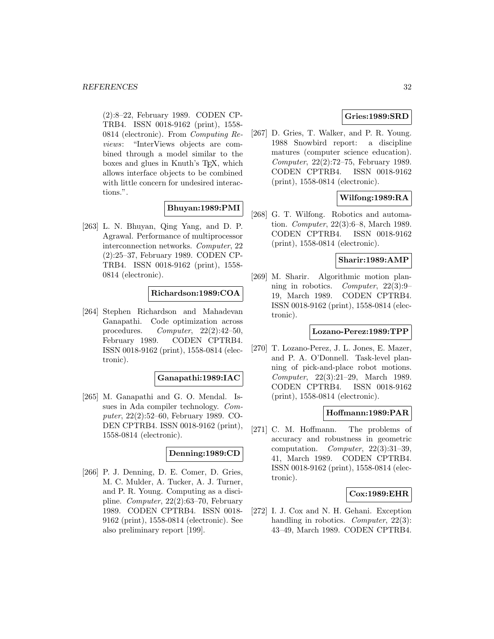(2):8–22, February 1989. CODEN CP-TRB4. ISSN 0018-9162 (print), 1558- 0814 (electronic). From Computing Reviews: "InterViews objects are combined through a model similar to the boxes and glues in Knuth's T<sub>E</sub>X, which allows interface objects to be combined with little concern for undesired interactions.".

# **Bhuyan:1989:PMI**

[263] L. N. Bhuyan, Qing Yang, and D. P. Agrawal. Performance of multiprocessor interconnection networks. Computer, 22 (2):25–37, February 1989. CODEN CP-TRB4. ISSN 0018-9162 (print), 1558- 0814 (electronic).

# **Richardson:1989:COA**

[264] Stephen Richardson and Mahadevan Ganapathi. Code optimization across procedures. Computer, 22(2):42–50, February 1989. CODEN CPTRB4. ISSN 0018-9162 (print), 1558-0814 (electronic).

#### **Ganapathi:1989:IAC**

[265] M. Ganapathi and G. O. Mendal. Issues in Ada compiler technology. Computer, 22(2):52–60, February 1989. CO-DEN CPTRB4. ISSN 0018-9162 (print), 1558-0814 (electronic).

### **Denning:1989:CD**

[266] P. J. Denning, D. E. Comer, D. Gries, M. C. Mulder, A. Tucker, A. J. Turner, and P. R. Young. Computing as a discipline. Computer, 22(2):63–70, February 1989. CODEN CPTRB4. ISSN 0018- 9162 (print), 1558-0814 (electronic). See also preliminary report [199].

# **Gries:1989:SRD**

[267] D. Gries, T. Walker, and P. R. Young. 1988 Snowbird report: a discipline matures (computer science education). Computer, 22(2):72–75, February 1989. CODEN CPTRB4. ISSN 0018-9162 (print), 1558-0814 (electronic).

# **Wilfong:1989:RA**

[268] G. T. Wilfong. Robotics and automation. Computer, 22(3):6–8, March 1989. CODEN CPTRB4. ISSN 0018-9162 (print), 1558-0814 (electronic).

### **Sharir:1989:AMP**

[269] M. Sharir. Algorithmic motion planning in robotics. Computer, 22(3):9– 19, March 1989. CODEN CPTRB4. ISSN 0018-9162 (print), 1558-0814 (electronic).

#### **Lozano-Perez:1989:TPP**

[270] T. Lozano-Perez, J. L. Jones, E. Mazer, and P. A. O'Donnell. Task-level planning of pick-and-place robot motions. Computer, 22(3):21–29, March 1989. CODEN CPTRB4. ISSN 0018-9162 (print), 1558-0814 (electronic).

# **Hoffmann:1989:PAR**

[271] C. M. Hoffmann. The problems of accuracy and robustness in geometric computation. Computer, 22(3):31–39, 41, March 1989. CODEN CPTRB4. ISSN 0018-9162 (print), 1558-0814 (electronic).

#### **Cox:1989:EHR**

[272] I. J. Cox and N. H. Gehani. Exception handling in robotics. *Computer*, 22(3): 43–49, March 1989. CODEN CPTRB4.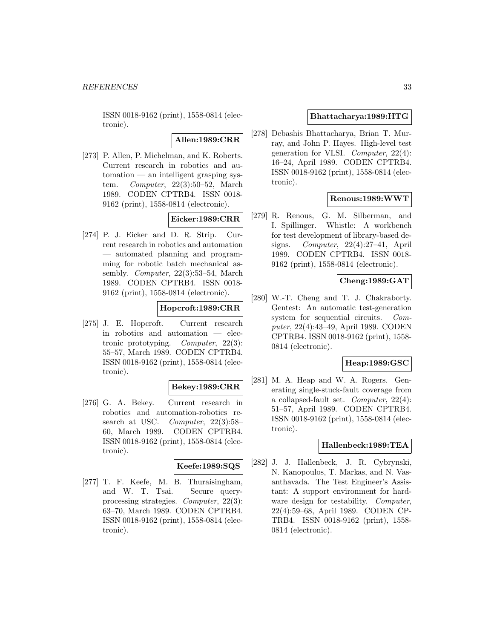ISSN 0018-9162 (print), 1558-0814 (electronic).

**Allen:1989:CRR**

[273] P. Allen, P. Michelman, and K. Roberts. Current research in robotics and automation — an intelligent grasping system. Computer, 22(3):50–52, March 1989. CODEN CPTRB4. ISSN 0018- 9162 (print), 1558-0814 (electronic).

# **Eicker:1989:CRR**

[274] P. J. Eicker and D. R. Strip. Current research in robotics and automation — automated planning and programming for robotic batch mechanical assembly. Computer, 22(3):53–54, March 1989. CODEN CPTRB4. ISSN 0018- 9162 (print), 1558-0814 (electronic).

# **Hopcroft:1989:CRR**

[275] J. E. Hopcroft. Current research in robotics and automation — electronic prototyping. Computer, 22(3): 55–57, March 1989. CODEN CPTRB4. ISSN 0018-9162 (print), 1558-0814 (electronic).

#### **Bekey:1989:CRR**

[276] G. A. Bekey. Current research in robotics and automation-robotics research at USC. Computer, 22(3):58– 60, March 1989. CODEN CPTRB4. ISSN 0018-9162 (print), 1558-0814 (electronic).

### **Keefe:1989:SQS**

[277] T. F. Keefe, M. B. Thuraisingham, and W. T. Tsai. Secure queryprocessing strategies. Computer, 22(3): 63–70, March 1989. CODEN CPTRB4. ISSN 0018-9162 (print), 1558-0814 (electronic).

# **Bhattacharya:1989:HTG**

[278] Debashis Bhattacharya, Brian T. Murray, and John P. Hayes. High-level test generation for VLSI. Computer, 22(4): 16–24, April 1989. CODEN CPTRB4. ISSN 0018-9162 (print), 1558-0814 (electronic).

# **Renous:1989:WWT**

[279] R. Renous, G. M. Silberman, and I. Spillinger. Whistle: A workbench for test development of library-based designs. Computer,  $22(4):27-41$ , April 1989. CODEN CPTRB4. ISSN 0018- 9162 (print), 1558-0814 (electronic).

# **Cheng:1989:GAT**

[280] W.-T. Cheng and T. J. Chakraborty. Gentest: An automatic test-generation system for sequential circuits. Computer, 22(4):43–49, April 1989. CODEN CPTRB4. ISSN 0018-9162 (print), 1558- 0814 (electronic).

# **Heap:1989:GSC**

[281] M. A. Heap and W. A. Rogers. Generating single-stuck-fault coverage from a collapsed-fault set. Computer,  $22(4)$ : 51–57, April 1989. CODEN CPTRB4. ISSN 0018-9162 (print), 1558-0814 (electronic).

#### **Hallenbeck:1989:TEA**

[282] J. J. Hallenbeck, J. R. Cybrynski, N. Kanopoulos, T. Markas, and N. Vasanthavada. The Test Engineer's Assistant: A support environment for hardware design for testability. Computer, 22(4):59–68, April 1989. CODEN CP-TRB4. ISSN 0018-9162 (print), 1558- 0814 (electronic).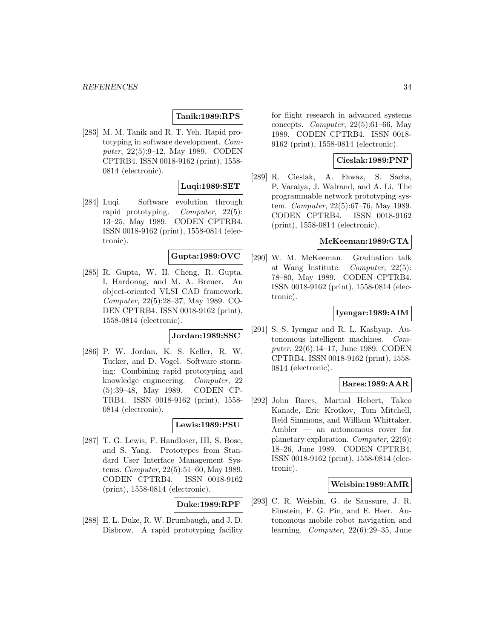# **Tanik:1989:RPS**

[283] M. M. Tanik and R. T. Yeh. Rapid prototyping in software development. Computer, 22(5):9–12, May 1989. CODEN CPTRB4. ISSN 0018-9162 (print), 1558- 0814 (electronic).

### **Luqi:1989:SET**

[284] Luqi. Software evolution through rapid prototyping. Computer, 22(5): 13–25, May 1989. CODEN CPTRB4. ISSN 0018-9162 (print), 1558-0814 (electronic).

# **Gupta:1989:OVC**

[285] R. Gupta, W. H. Cheng, R. Gupta, I. Hardonag, and M. A. Breuer. An object-oriented VLSI CAD framework. Computer, 22(5):28–37, May 1989. CO-DEN CPTRB4. ISSN 0018-9162 (print), 1558-0814 (electronic).

# **Jordan:1989:SSC**

[286] P. W. Jordan, K. S. Keller, R. W. Tucker, and D. Vogel. Software storming: Combining rapid prototyping and knowledge engineering. Computer, 22 (5):39–48, May 1989. CODEN CP-TRB4. ISSN 0018-9162 (print), 1558- 0814 (electronic).

#### **Lewis:1989:PSU**

[287] T. G. Lewis, F. Handloser, III, S. Bose, and S. Yang. Prototypes from Standard User Interface Management Systems. Computer, 22(5):51–60, May 1989. CODEN CPTRB4. ISSN 0018-9162 (print), 1558-0814 (electronic).

#### **Duke:1989:RPF**

[288] E. L. Duke, R. W. Brumbaugh, and J. D. Disbrow. A rapid prototyping facility for flight research in advanced systems concepts. Computer,  $22(5):61-66$ , May 1989. CODEN CPTRB4. ISSN 0018- 9162 (print), 1558-0814 (electronic).

# **Cieslak:1989:PNP**

[289] R. Cieslak, A. Fawaz, S. Sachs, P. Varaiya, J. Walrand, and A. Li. The programmable network prototyping system. Computer, 22(5):67–76, May 1989. CODEN CPTRB4. ISSN 0018-9162 (print), 1558-0814 (electronic).

### **McKeeman:1989:GTA**

[290] W. M. McKeeman. Graduation talk at Wang Institute. Computer, 22(5): 78–80, May 1989. CODEN CPTRB4. ISSN 0018-9162 (print), 1558-0814 (electronic).

# **Iyengar:1989:AIM**

[291] S. S. Iyengar and R. L. Kashyap. Autonomous intelligent machines. Computer, 22(6):14–17, June 1989. CODEN CPTRB4. ISSN 0018-9162 (print), 1558- 0814 (electronic).

#### **Bares:1989:AAR**

[292] John Bares, Martial Hebert, Takeo Kanade, Eric Krotkov, Tom Mitchell, Reid Simmons, and William Whittaker. Ambler — an autonomous rover for planetary exploration. Computer, 22(6): 18–26, June 1989. CODEN CPTRB4. ISSN 0018-9162 (print), 1558-0814 (electronic).

#### **Weisbin:1989:AMR**

[293] C. R. Weisbin, G. de Saussure, J. R. Einstein, F. G. Pin, and E. Heer. Autonomous mobile robot navigation and learning. Computer, 22(6):29–35, June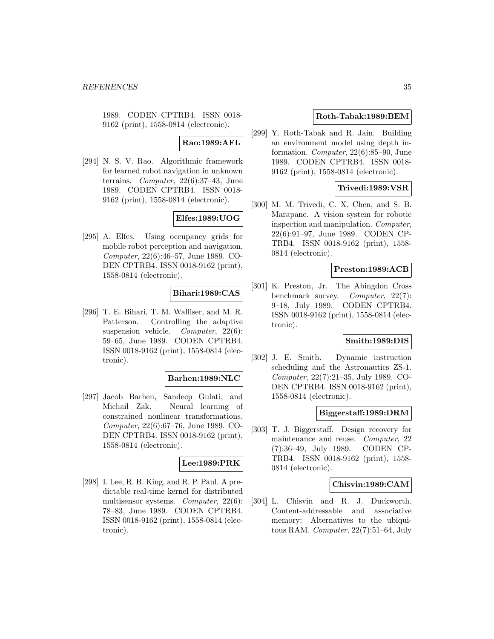1989. CODEN CPTRB4. ISSN 0018- 9162 (print), 1558-0814 (electronic).

### **Rao:1989:AFL**

[294] N. S. V. Rao. Algorithmic framework for learned robot navigation in unknown terrains. Computer, 22(6):37–43, June 1989. CODEN CPTRB4. ISSN 0018- 9162 (print), 1558-0814 (electronic).

# **Elfes:1989:UOG**

[295] A. Elfes. Using occupancy grids for mobile robot perception and navigation. Computer, 22(6):46–57, June 1989. CO-DEN CPTRB4. ISSN 0018-9162 (print), 1558-0814 (electronic).

# **Bihari:1989:CAS**

[296] T. E. Bihari, T. M. Walliser, and M. R. Patterson. Controlling the adaptive suspension vehicle. Computer, 22(6): 59–65, June 1989. CODEN CPTRB4. ISSN 0018-9162 (print), 1558-0814 (electronic).

#### **Barhen:1989:NLC**

[297] Jacob Barhen, Sandeep Gulati, and Michail Zak. Neural learning of constrained nonlinear transformations. Computer, 22(6):67–76, June 1989. CO-DEN CPTRB4. ISSN 0018-9162 (print), 1558-0814 (electronic).

#### **Lee:1989:PRK**

[298] I. Lee, R. B. King, and R. P. Paul. A predictable real-time kernel for distributed multisensor systems. Computer, 22(6): 78–83, June 1989. CODEN CPTRB4. ISSN 0018-9162 (print), 1558-0814 (electronic).

#### **Roth-Tabak:1989:BEM**

[299] Y. Roth-Tabak and R. Jain. Building an environment model using depth information. Computer, 22(6):85–90, June 1989. CODEN CPTRB4. ISSN 0018- 9162 (print), 1558-0814 (electronic).

### **Trivedi:1989:VSR**

[300] M. M. Trivedi, C. X. Chen, and S. B. Marapane. A vision system for robotic inspection and manipulation. Computer, 22(6):91–97, June 1989. CODEN CP-TRB4. ISSN 0018-9162 (print), 1558- 0814 (electronic).

### **Preston:1989:ACB**

[301] K. Preston, Jr. The Abingdon Cross benchmark survey. *Computer*, 22(7): 9–18, July 1989. CODEN CPTRB4. ISSN 0018-9162 (print), 1558-0814 (electronic).

# **Smith:1989:DIS**

[302] J. E. Smith. Dynamic instruction scheduling and the Astronautics ZS-1. Computer, 22(7):21–35, July 1989. CO-DEN CPTRB4. ISSN 0018-9162 (print), 1558-0814 (electronic).

# **Biggerstaff:1989:DRM**

[303] T. J. Biggerstaff. Design recovery for maintenance and reuse. Computer, 22 (7):36–49, July 1989. CODEN CP-TRB4. ISSN 0018-9162 (print), 1558- 0814 (electronic).

### **Chisvin:1989:CAM**

[304] L. Chisvin and R. J. Duckworth. Content-addressable and associative memory: Alternatives to the ubiquitous RAM. Computer, 22(7):51–64, July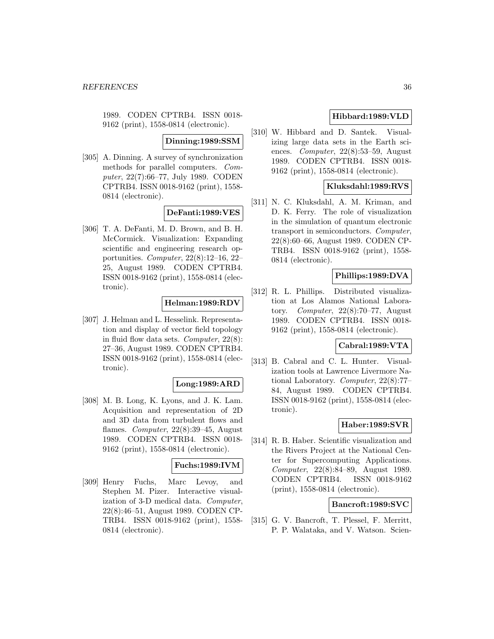1989. CODEN CPTRB4. ISSN 0018- 9162 (print), 1558-0814 (electronic).

#### **Dinning:1989:SSM**

[305] A. Dinning. A survey of synchronization methods for parallel computers. Computer, 22(7):66–77, July 1989. CODEN CPTRB4. ISSN 0018-9162 (print), 1558- 0814 (electronic).

#### **DeFanti:1989:VES**

[306] T. A. DeFanti, M. D. Brown, and B. H. McCormick. Visualization: Expanding scientific and engineering research opportunities. Computer, 22(8):12–16, 22– 25, August 1989. CODEN CPTRB4. ISSN 0018-9162 (print), 1558-0814 (electronic).

#### **Helman:1989:RDV**

[307] J. Helman and L. Hesselink. Representation and display of vector field topology in fluid flow data sets. Computer, 22(8): 27–36, August 1989. CODEN CPTRB4. ISSN 0018-9162 (print), 1558-0814 (electronic).

#### **Long:1989:ARD**

[308] M. B. Long, K. Lyons, and J. K. Lam. Acquisition and representation of 2D and 3D data from turbulent flows and flames. Computer, 22(8):39–45, August 1989. CODEN CPTRB4. ISSN 0018- 9162 (print), 1558-0814 (electronic).

# **Fuchs:1989:IVM**

[309] Henry Fuchs, Marc Levoy, and Stephen M. Pizer. Interactive visualization of 3-D medical data. Computer, 22(8):46–51, August 1989. CODEN CP-TRB4. ISSN 0018-9162 (print), 1558- 0814 (electronic).

# **Hibbard:1989:VLD**

[310] W. Hibbard and D. Santek. Visualizing large data sets in the Earth sciences. Computer, 22(8):53–59, August 1989. CODEN CPTRB4. ISSN 0018- 9162 (print), 1558-0814 (electronic).

# **Kluksdahl:1989:RVS**

[311] N. C. Kluksdahl, A. M. Kriman, and D. K. Ferry. The role of visualization in the simulation of quantum electronic transport in semiconductors. Computer, 22(8):60–66, August 1989. CODEN CP-TRB4. ISSN 0018-9162 (print), 1558- 0814 (electronic).

### **Phillips:1989:DVA**

[312] R. L. Phillips. Distributed visualization at Los Alamos National Laboratory. Computer,  $22(8):70-77$ , August 1989. CODEN CPTRB4. ISSN 0018- 9162 (print), 1558-0814 (electronic).

# **Cabral:1989:VTA**

[313] B. Cabral and C. L. Hunter. Visualization tools at Lawrence Livermore National Laboratory. Computer, 22(8):77– 84, August 1989. CODEN CPTRB4. ISSN 0018-9162 (print), 1558-0814 (electronic).

#### **Haber:1989:SVR**

[314] R. B. Haber. Scientific visualization and the Rivers Project at the National Center for Supercomputing Applications. Computer, 22(8):84–89, August 1989. CODEN CPTRB4. ISSN 0018-9162 (print), 1558-0814 (electronic).

#### **Bancroft:1989:SVC**

[315] G. V. Bancroft, T. Plessel, F. Merritt, P. P. Walataka, and V. Watson. Scien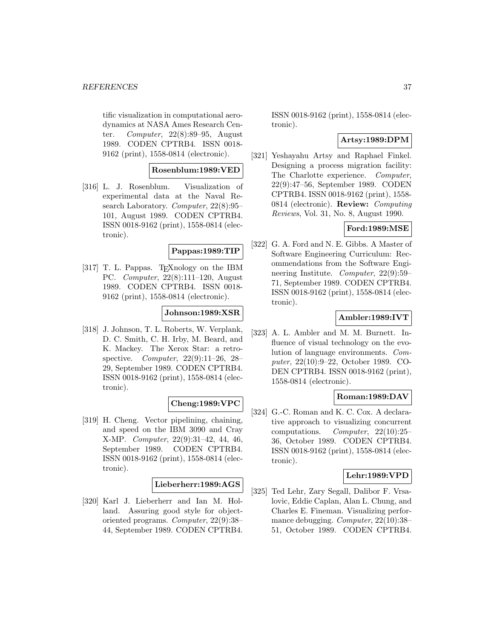tific visualization in computational aerodynamics at NASA Ames Research Center. Computer, 22(8):89–95, August 1989. CODEN CPTRB4. ISSN 0018- 9162 (print), 1558-0814 (electronic).

# **Rosenblum:1989:VED**

[316] L. J. Rosenblum. Visualization of experimental data at the Naval Research Laboratory. Computer, 22(8):95– 101, August 1989. CODEN CPTRB4. ISSN 0018-9162 (print), 1558-0814 (electronic).

#### **Pappas:1989:TIP**

[317] T. L. Pappas. T<sub>E</sub>Xnology on the IBM PC. Computer, 22(8):111–120, August 1989. CODEN CPTRB4. ISSN 0018- 9162 (print), 1558-0814 (electronic).

#### **Johnson:1989:XSR**

[318] J. Johnson, T. L. Roberts, W. Verplank, D. C. Smith, C. H. Irby, M. Beard, and K. Mackey. The Xerox Star: a retrospective. Computer, 22(9):11–26, 28– 29, September 1989. CODEN CPTRB4. ISSN 0018-9162 (print), 1558-0814 (electronic).

#### **Cheng:1989:VPC**

[319] H. Cheng. Vector pipelining, chaining, and speed on the IBM 3090 and Cray X-MP. Computer, 22(9):31–42, 44, 46, September 1989. CODEN CPTRB4. ISSN 0018-9162 (print), 1558-0814 (electronic).

#### **Lieberherr:1989:AGS**

[320] Karl J. Lieberherr and Ian M. Holland. Assuring good style for objectoriented programs. Computer, 22(9):38– 44, September 1989. CODEN CPTRB4.

ISSN 0018-9162 (print), 1558-0814 (electronic).

### **Artsy:1989:DPM**

[321] Yeshayahu Artsy and Raphael Finkel. Designing a process migration facility: The Charlotte experience. Computer, 22(9):47–56, September 1989. CODEN CPTRB4. ISSN 0018-9162 (print), 1558- 0814 (electronic). **Review:** Computing Reviews, Vol. 31, No. 8, August 1990.

# **Ford:1989:MSE**

[322] G. A. Ford and N. E. Gibbs. A Master of Software Engineering Curriculum: Recommendations from the Software Engineering Institute. Computer, 22(9):59– 71, September 1989. CODEN CPTRB4. ISSN 0018-9162 (print), 1558-0814 (electronic).

### **Ambler:1989:IVT**

[323] A. L. Ambler and M. M. Burnett. Influence of visual technology on the evolution of language environments. Computer, 22(10):9–22, October 1989. CO-DEN CPTRB4. ISSN 0018-9162 (print), 1558-0814 (electronic).

# **Roman:1989:DAV**

[324] G.-C. Roman and K. C. Cox. A declarative approach to visualizing concurrent computations. Computer, 22(10):25– 36, October 1989. CODEN CPTRB4. ISSN 0018-9162 (print), 1558-0814 (electronic).

#### **Lehr:1989:VPD**

[325] Ted Lehr, Zary Segall, Dalibor F. Vrsalovic, Eddie Caplan, Alan L. Chung, and Charles E. Fineman. Visualizing performance debugging. Computer, 22(10):38– 51, October 1989. CODEN CPTRB4.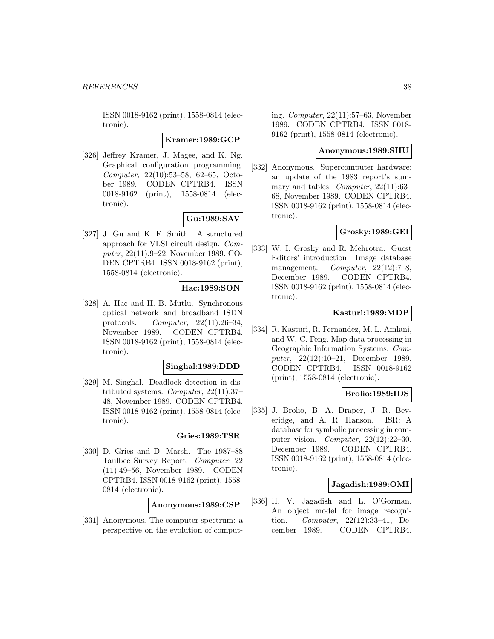ISSN 0018-9162 (print), 1558-0814 (electronic).

**Kramer:1989:GCP**

[326] Jeffrey Kramer, J. Magee, and K. Ng. Graphical configuration programming. Computer, 22(10):53–58, 62–65, October 1989. CODEN CPTRB4. ISSN 0018-9162 (print), 1558-0814 (electronic).

# **Gu:1989:SAV**

[327] J. Gu and K. F. Smith. A structured approach for VLSI circuit design. Computer, 22(11):9–22, November 1989. CO-DEN CPTRB4. ISSN 0018-9162 (print), 1558-0814 (electronic).

# **Hac:1989:SON**

[328] A. Hac and H. B. Mutlu. Synchronous optical network and broadband ISDN protocols. Computer, 22(11):26–34, November 1989. CODEN CPTRB4. ISSN 0018-9162 (print), 1558-0814 (electronic).

#### **Singhal:1989:DDD**

[329] M. Singhal. Deadlock detection in distributed systems. Computer, 22(11):37– 48, November 1989. CODEN CPTRB4. ISSN 0018-9162 (print), 1558-0814 (electronic).

#### **Gries:1989:TSR**

[330] D. Gries and D. Marsh. The 1987–88 Taulbee Survey Report. Computer, 22 (11):49–56, November 1989. CODEN CPTRB4. ISSN 0018-9162 (print), 1558- 0814 (electronic).

**Anonymous:1989:CSP**

[331] Anonymous. The computer spectrum: a perspective on the evolution of computing. Computer, 22(11):57–63, November 1989. CODEN CPTRB4. ISSN 0018- 9162 (print), 1558-0814 (electronic).

#### **Anonymous:1989:SHU**

[332] Anonymous. Supercomputer hardware: an update of the 1983 report's summary and tables. *Computer*,  $22(11):63-$ 68, November 1989. CODEN CPTRB4. ISSN 0018-9162 (print), 1558-0814 (electronic).

#### **Grosky:1989:GEI**

[333] W. I. Grosky and R. Mehrotra. Guest Editors' introduction: Image database management.  $Computer, 22(12):7-8,$ December 1989. CODEN CPTRB4. ISSN 0018-9162 (print), 1558-0814 (electronic).

#### **Kasturi:1989:MDP**

[334] R. Kasturi, R. Fernandez, M. L. Amlani, and W.-C. Feng. Map data processing in Geographic Information Systems. Computer, 22(12):10–21, December 1989. CODEN CPTRB4. ISSN 0018-9162 (print), 1558-0814 (electronic).

#### **Brolio:1989:IDS**

[335] J. Brolio, B. A. Draper, J. R. Beveridge, and A. R. Hanson. ISR: A database for symbolic processing in computer vision. Computer,  $22(12):22-30$ , December 1989. CODEN CPTRB4. ISSN 0018-9162 (print), 1558-0814 (electronic).

### **Jagadish:1989:OMI**

[336] H. V. Jagadish and L. O'Gorman. An object model for image recognition. Computer, 22(12):33–41, December 1989. CODEN CPTRB4.